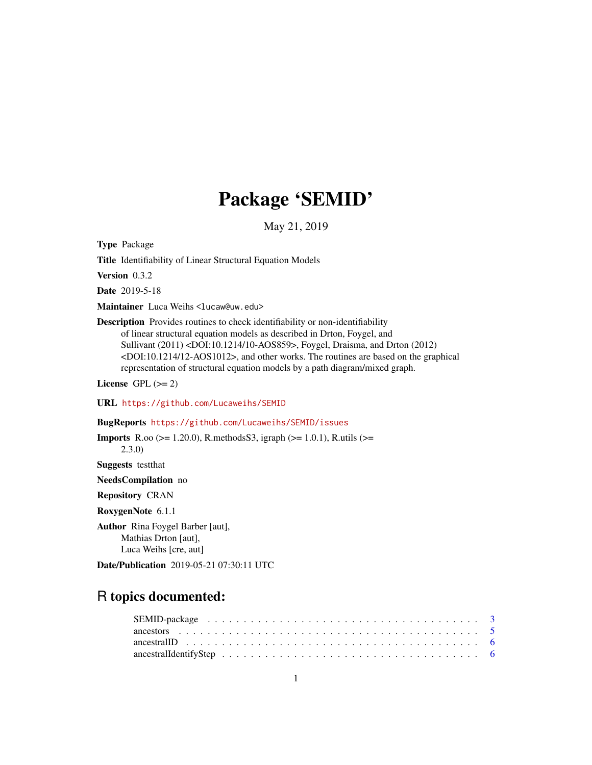# Package 'SEMID'

May 21, 2019

<span id="page-0-0"></span>Type Package

Title Identifiability of Linear Structural Equation Models

Version 0.3.2

Date 2019-5-18

Maintainer Luca Weihs <lucaw@uw.edu>

Description Provides routines to check identifiability or non-identifiability of linear structural equation models as described in Drton, Foygel, and Sullivant (2011) <DOI:10.1214/10-AOS859>, Foygel, Draisma, and Drton (2012) <DOI:10.1214/12-AOS1012>, and other works. The routines are based on the graphical representation of structural equation models by a path diagram/mixed graph.

License GPL  $(>= 2)$ 

URL <https://github.com/Lucaweihs/SEMID>

BugReports <https://github.com/Lucaweihs/SEMID/issues>

**Imports** R.oo ( $>= 1.20.0$ ), R.methods S3, igraph ( $>= 1.0.1$ ), R.utils ( $>=$ 2.3.0) Suggests testthat NeedsCompilation no Repository CRAN RoxygenNote 6.1.1 Author Rina Foygel Barber [aut], Mathias Drton [aut], Luca Weihs [cre, aut]

Date/Publication 2019-05-21 07:30:11 UTC

## R topics documented:

| ancestral Identify Step $\ldots \ldots \ldots \ldots \ldots \ldots \ldots \ldots \ldots \ldots \ldots \ldots$ |  |
|---------------------------------------------------------------------------------------------------------------|--|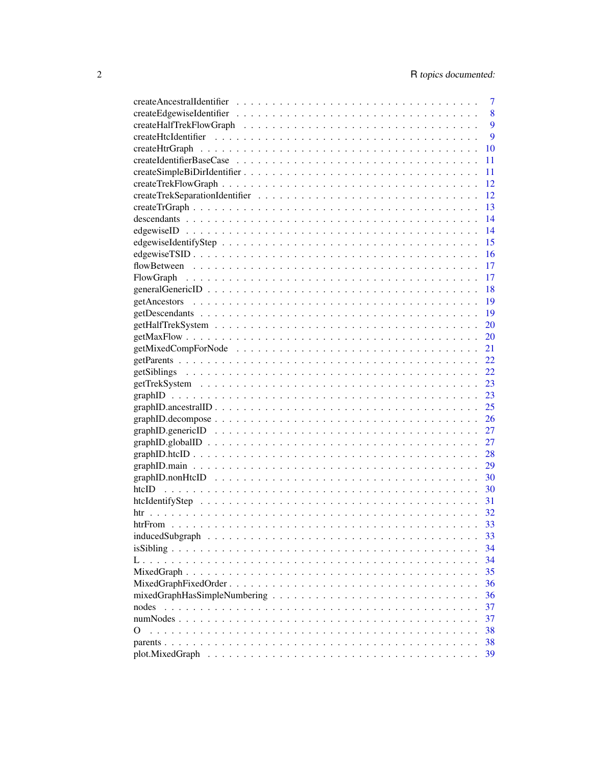|             | 7  |
|-------------|----|
|             | 8  |
|             | 9  |
|             | 9  |
|             | 10 |
|             | 11 |
|             | 11 |
|             | 12 |
|             | 12 |
|             | 13 |
|             | 14 |
|             | 14 |
|             | 15 |
|             | 16 |
|             | 17 |
| FlowGraph   | 17 |
|             | 18 |
|             | 19 |
|             | 19 |
|             | 20 |
|             | 20 |
|             | 21 |
|             | 22 |
|             | 22 |
|             | 23 |
|             | 23 |
|             | 25 |
|             | 26 |
|             | 27 |
|             | 27 |
|             | 28 |
|             | 29 |
|             | 30 |
|             | 30 |
|             | 31 |
| htr         | 32 |
|             | 33 |
|             | 33 |
|             | 34 |
|             | 34 |
| MixedGraph. | 35 |
|             | 36 |
|             | 36 |
| nodes       | 37 |
|             | 37 |
| O           | 38 |
|             | 38 |
|             | 39 |
|             |    |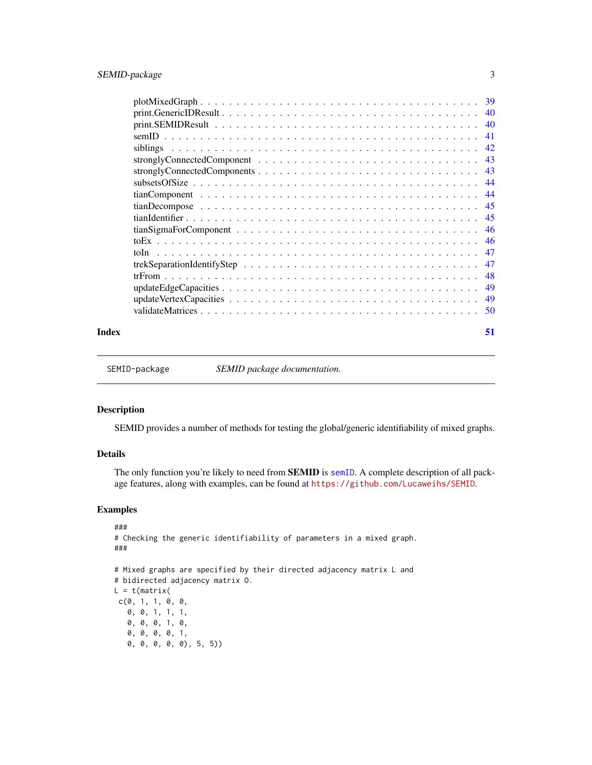<span id="page-2-0"></span>

|                                                                                                                                                                                                                                                                                                                                                                                                                                                                                                          | -39 |
|----------------------------------------------------------------------------------------------------------------------------------------------------------------------------------------------------------------------------------------------------------------------------------------------------------------------------------------------------------------------------------------------------------------------------------------------------------------------------------------------------------|-----|
|                                                                                                                                                                                                                                                                                                                                                                                                                                                                                                          | 40  |
|                                                                                                                                                                                                                                                                                                                                                                                                                                                                                                          | 40  |
|                                                                                                                                                                                                                                                                                                                                                                                                                                                                                                          | 41  |
|                                                                                                                                                                                                                                                                                                                                                                                                                                                                                                          |     |
|                                                                                                                                                                                                                                                                                                                                                                                                                                                                                                          |     |
|                                                                                                                                                                                                                                                                                                                                                                                                                                                                                                          |     |
|                                                                                                                                                                                                                                                                                                                                                                                                                                                                                                          | 44  |
|                                                                                                                                                                                                                                                                                                                                                                                                                                                                                                          | -44 |
|                                                                                                                                                                                                                                                                                                                                                                                                                                                                                                          | -45 |
|                                                                                                                                                                                                                                                                                                                                                                                                                                                                                                          | -45 |
|                                                                                                                                                                                                                                                                                                                                                                                                                                                                                                          |     |
|                                                                                                                                                                                                                                                                                                                                                                                                                                                                                                          |     |
| $\mathcal{L}_{\mathcal{A}}(\mathcal{A})=\mathcal{L}_{\mathcal{A}}(\mathcal{A})=\mathcal{L}_{\mathcal{A}}(\mathcal{A})=\mathcal{L}_{\mathcal{A}}(\mathcal{A})=\mathcal{L}_{\mathcal{A}}(\mathcal{A})=\mathcal{L}_{\mathcal{A}}(\mathcal{A})=\mathcal{L}_{\mathcal{A}}(\mathcal{A})=\mathcal{L}_{\mathcal{A}}(\mathcal{A})=\mathcal{L}_{\mathcal{A}}(\mathcal{A})=\mathcal{L}_{\mathcal{A}}(\mathcal{A})=\mathcal{L}_{\mathcal{A}}(\mathcal{A})=\mathcal{L}_{\mathcal{A}}(\mathcal{A})=\mathcal{$<br>toIn. | -47 |
|                                                                                                                                                                                                                                                                                                                                                                                                                                                                                                          | -47 |
|                                                                                                                                                                                                                                                                                                                                                                                                                                                                                                          | 48  |
|                                                                                                                                                                                                                                                                                                                                                                                                                                                                                                          | 49  |
|                                                                                                                                                                                                                                                                                                                                                                                                                                                                                                          | 49  |
|                                                                                                                                                                                                                                                                                                                                                                                                                                                                                                          | 50  |
|                                                                                                                                                                                                                                                                                                                                                                                                                                                                                                          |     |

#### **Index** [51](#page-50-0)

SEMID-package *SEMID package documentation.*

### Description

SEMID provides a number of methods for testing the global/generic identifiability of mixed graphs.

### Details

The only function you're likely to need from **SEMID** is [semID](#page-40-1). A complete description of all package features, along with examples, can be found at <https://github.com/Lucaweihs/SEMID>.

### Examples

```
###
# Checking the generic identifiability of parameters in a mixed graph.
###
# Mixed graphs are specified by their directed adjacency matrix L and
# bidirected adjacency matrix O.
L = t(matrix)c(0, 1, 1, 0, 0,0, 0, 1, 1, 1,
   0, 0, 0, 1, 0,
   0, 0, 0, 0, 1,
   0, 0, 0, 0, 0), 5, 5))
```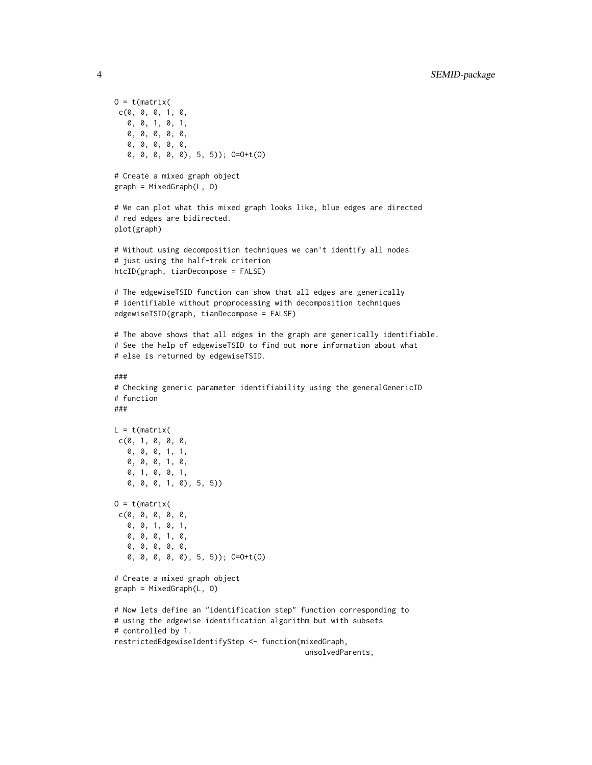```
0 = t(matrix)c(0, 0, 0, 1, 0,
   0, 0, 1, 0, 1,
   0, 0, 0, 0, 0,
   0, 0, 0, 0, 0,
   0, 0, 0, 0, 0), 5, 5)); O=O+t(O)
# Create a mixed graph object
graph = MixedGraph(L, O)
# We can plot what this mixed graph looks like, blue edges are directed
# red edges are bidirected.
plot(graph)
# Without using decomposition techniques we can't identify all nodes
# just using the half-trek criterion
htcID(graph, tianDecompose = FALSE)
# The edgewiseTSID function can show that all edges are generically
# identifiable without proprocessing with decomposition techniques
edgewiseTSID(graph, tianDecompose = FALSE)
# The above shows that all edges in the graph are generically identifiable.
# See the help of edgewiseTSID to find out more information about what
# else is returned by edgewiseTSID.
###
# Checking generic parameter identifiability using the generalGenericID
# function
###
L = t(matrix)c(0, 1, 0, 0, 0, 0,0, 0, 0, 1, 1,
   0, 0, 0, 1, 0,
   0, 1, 0, 0, 1,
   0, 0, 0, 1, 0), 5, 5))
0 = t(matrix)c(0, 0, 0, 0, 0,
   0, 0, 1, 0, 1,
   0, 0, 0, 1, 0,
   0, 0, 0, 0, 0,
   0, 0, 0, 0, 0), 5, 5)); O=O+t(O)
# Create a mixed graph object
graph = MixedGraph(L, O)
# Now lets define an "identification step" function corresponding to
# using the edgewise identification algorithm but with subsets
# controlled by 1.
restrictedEdgewiseIdentifyStep <- function(mixedGraph,
                                            unsolvedParents,
```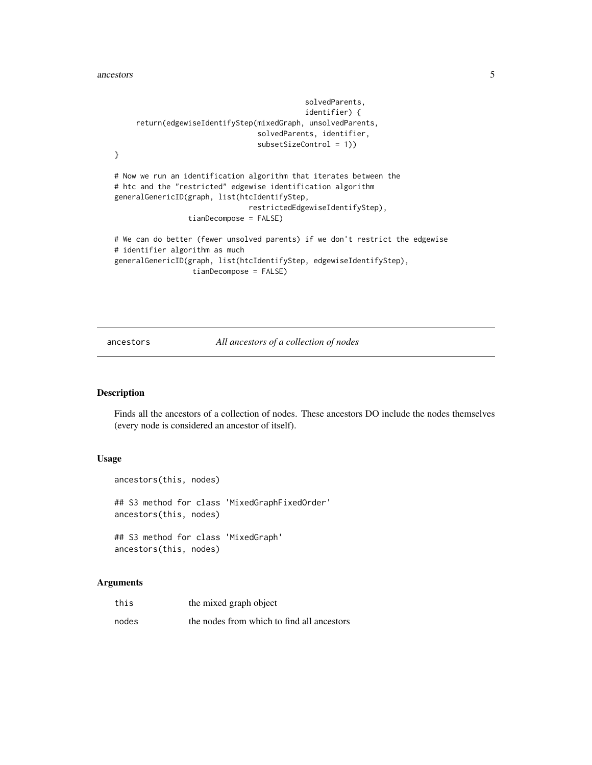#### <span id="page-4-0"></span>ancestors 5

```
solvedParents,
                                            identifier) {
     return(edgewiseIdentifyStep(mixedGraph, unsolvedParents,
                                 solvedParents, identifier,
                                 subsetSizeControl = 1))
}
# Now we run an identification algorithm that iterates between the
# htc and the "restricted" edgewise identification algorithm
generalGenericID(graph, list(htcIdentifyStep,
                               restrictedEdgewiseIdentifyStep),
                 tianDecompose = FALSE)
# We can do better (fewer unsolved parents) if we don't restrict the edgewise
# identifier algorithm as much
generalGenericID(graph, list(htcIdentifyStep, edgewiseIdentifyStep),
                  tianDecompose = FALSE)
```
#### ancestors *All ancestors of a collection of nodes*

### Description

Finds all the ancestors of a collection of nodes. These ancestors DO include the nodes themselves (every node is considered an ancestor of itself).

#### Usage

```
ancestors(this, nodes)
## S3 method for class 'MixedGraphFixedOrder'
ancestors(this, nodes)
## S3 method for class 'MixedGraph'
ancestors(this, nodes)
```

| this  | the mixed graph object                     |
|-------|--------------------------------------------|
| nodes | the nodes from which to find all ancestors |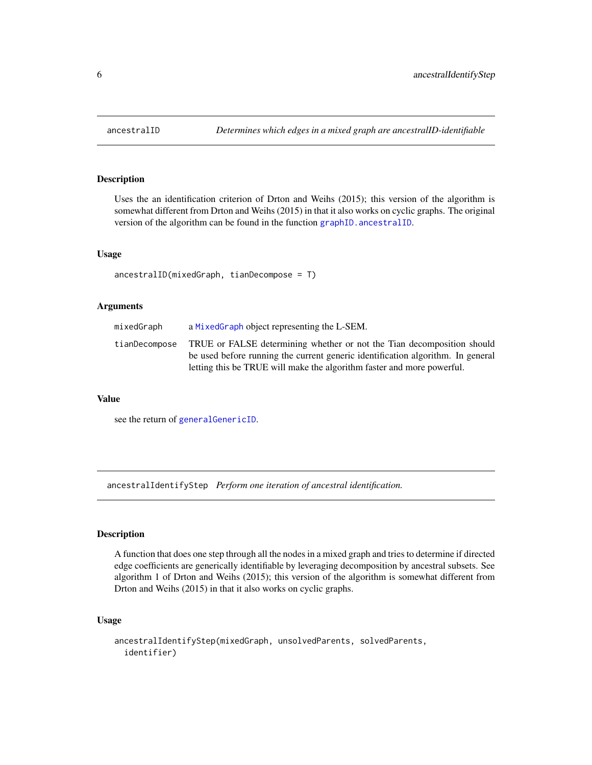<span id="page-5-0"></span>

Uses the an identification criterion of Drton and Weihs (2015); this version of the algorithm is somewhat different from Drton and Weihs (2015) in that it also works on cyclic graphs. The original version of the algorithm can be found in the function [graphID.ancestralID](#page-24-1).

#### Usage

ancestralID(mixedGraph, tianDecompose = T)

#### Arguments

| mixedGraph    | a MixedGraph object representing the L-SEM.                                     |
|---------------|---------------------------------------------------------------------------------|
| tianDecompose | TRUE or FALSE determining whether or not the Tian decomposition should          |
|               | be used before running the current generic identification algorithm. In general |
|               | letting this be TRUE will make the algorithm faster and more powerful.          |

#### Value

see the return of [generalGenericID](#page-17-1).

ancestralIdentifyStep *Perform one iteration of ancestral identification.*

### Description

A function that does one step through all the nodes in a mixed graph and tries to determine if directed edge coefficients are generically identifiable by leveraging decomposition by ancestral subsets. See algorithm 1 of Drton and Weihs (2015); this version of the algorithm is somewhat different from Drton and Weihs (2015) in that it also works on cyclic graphs.

```
ancestralIdentifyStep(mixedGraph, unsolvedParents, solvedParents,
  identifier)
```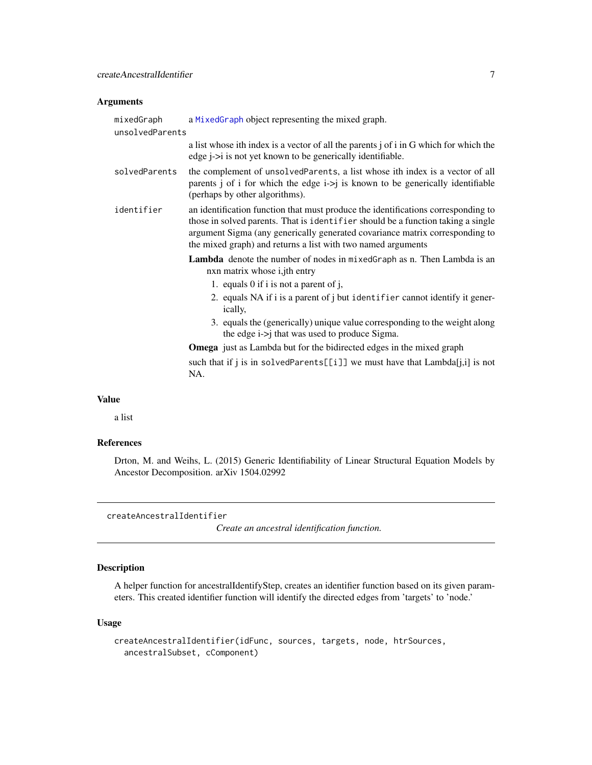#### <span id="page-6-0"></span>Arguments

| mixedGraph<br>unsolvedParents | a MixedGraph object representing the mixed graph.                                                                                                                                                                                                                                                                     |
|-------------------------------|-----------------------------------------------------------------------------------------------------------------------------------------------------------------------------------------------------------------------------------------------------------------------------------------------------------------------|
|                               | a list whose ith index is a vector of all the parents j of i in G which for which the<br>edge <i>j</i> -> <i>i</i> is not yet known to be generically identifiable.                                                                                                                                                   |
| solvedParents                 | the complement of unsolvedParents, a list whose ith index is a vector of all<br>parents j of i for which the edge $i > j$ is known to be generically identifiable<br>(perhaps by other algorithms).                                                                                                                   |
| identifier                    | an identification function that must produce the identifications corresponding to<br>those in solved parents. That is identifier should be a function taking a single<br>argument Sigma (any generically generated covariance matrix corresponding to<br>the mixed graph) and returns a list with two named arguments |
|                               | Lambda denote the number of nodes in mixedGraph as n. Then Lambda is an<br>nxn matrix whose <i>i</i> , jth entry                                                                                                                                                                                                      |
|                               | 1. equals $0$ if i is not a parent of j,                                                                                                                                                                                                                                                                              |
|                               | 2. equals NA if i is a parent of j but identifier cannot identify it gener-<br>ically,                                                                                                                                                                                                                                |
|                               | 3. equals the (generically) unique value corresponding to the weight along<br>the edge i->j that was used to produce Sigma.                                                                                                                                                                                           |
|                               | <b>Omega</b> just as Lambda but for the bidirected edges in the mixed graph                                                                                                                                                                                                                                           |
|                               | such that if j is in solvedParents[[i]] we must have that $Lambda[j,i]$ is not<br>NA.                                                                                                                                                                                                                                 |
| <b>Value</b>                  |                                                                                                                                                                                                                                                                                                                       |

a list

#### References

Drton, M. and Weihs, L. (2015) Generic Identifiability of Linear Structural Equation Models by Ancestor Decomposition. arXiv 1504.02992

createAncestralIdentifier

*Create an ancestral identification function.*

### Description

A helper function for ancestralIdentifyStep, creates an identifier function based on its given parameters. This created identifier function will identify the directed edges from 'targets' to 'node.'

```
createAncestralIdentifier(idFunc, sources, targets, node, htrSources,
  ancestralSubset, cComponent)
```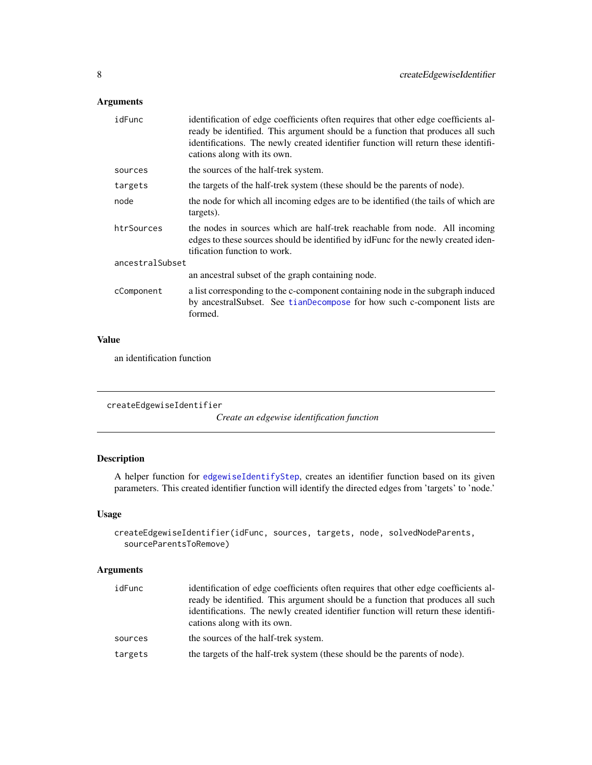### <span id="page-7-0"></span>Arguments

| identification of edge coefficients often requires that other edge coefficients al-<br>ready be identified. This argument should be a function that produces all such<br>identifications. The newly created identifier function will return these identifi-<br>cations along with its own. |  |  |
|--------------------------------------------------------------------------------------------------------------------------------------------------------------------------------------------------------------------------------------------------------------------------------------------|--|--|
| the sources of the half-trek system.                                                                                                                                                                                                                                                       |  |  |
| the targets of the half-trek system (these should be the parents of node).                                                                                                                                                                                                                 |  |  |
| the node for which all incoming edges are to be identified (the tails of which are<br>targets).                                                                                                                                                                                            |  |  |
| the nodes in sources which are half-trek reachable from node. All incoming<br>edges to these sources should be identified by identified by remaining the newly created iden-<br>tification function to work.                                                                               |  |  |
| ancestralSubset                                                                                                                                                                                                                                                                            |  |  |
| an ancestral subset of the graph containing node.                                                                                                                                                                                                                                          |  |  |
| a list corresponding to the c-component containing node in the subgraph induced<br>by ancestralSubset. See tianDecompose for how such c-component lists are<br>formed.                                                                                                                     |  |  |
|                                                                                                                                                                                                                                                                                            |  |  |

### Value

an identification function

```
createEdgewiseIdentifier
```
*Create an edgewise identification function*

### Description

A helper function for [edgewiseIdentifyStep](#page-14-1), creates an identifier function based on its given parameters. This created identifier function will identify the directed edges from 'targets' to 'node.'

### Usage

```
createEdgewiseIdentifier(idFunc, sources, targets, node, solvedNodeParents,
  sourceParentsToRemove)
```

| idFunc  | identification of edge coefficients often requires that other edge coefficients al-<br>ready be identified. This argument should be a function that produces all such<br>identifications. The newly created identifier function will return these identifi-<br>cations along with its own. |
|---------|--------------------------------------------------------------------------------------------------------------------------------------------------------------------------------------------------------------------------------------------------------------------------------------------|
| sources | the sources of the half-trek system.                                                                                                                                                                                                                                                       |
| targets | the targets of the half-trek system (these should be the parents of node).                                                                                                                                                                                                                 |
|         |                                                                                                                                                                                                                                                                                            |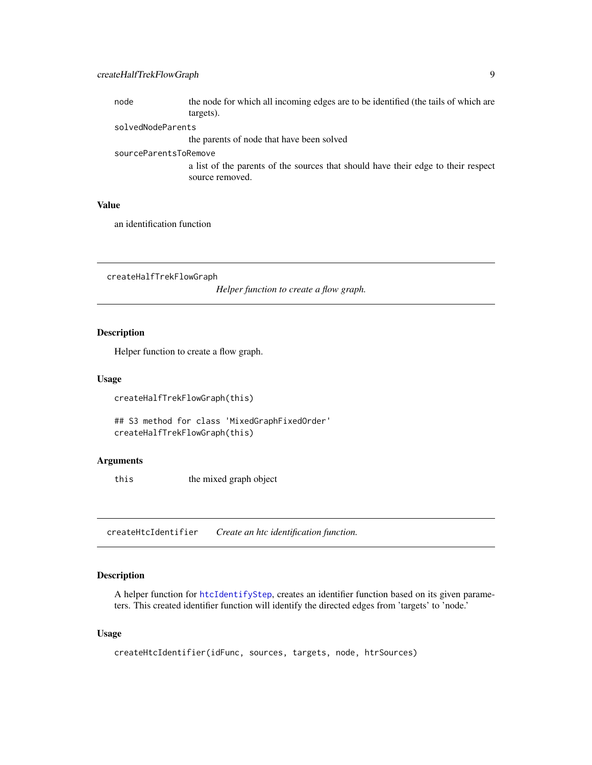### <span id="page-8-0"></span>createHalfTrekFlowGraph 9

| node                  | the node for which all incoming edges are to be identified (the tails of which are                   |
|-----------------------|------------------------------------------------------------------------------------------------------|
|                       | targets).                                                                                            |
| solvedNodeParents     |                                                                                                      |
|                       | the parents of node that have been solved                                                            |
| sourceParentsToRemove |                                                                                                      |
|                       | a list of the parents of the sources that should have their edge to their respect<br>source removed. |
|                       |                                                                                                      |

### Value

an identification function

createHalfTrekFlowGraph

*Helper function to create a flow graph.*

### Description

Helper function to create a flow graph.

#### Usage

```
createHalfTrekFlowGraph(this)
```

```
## S3 method for class 'MixedGraphFixedOrder'
createHalfTrekFlowGraph(this)
```
### Arguments

this the mixed graph object

createHtcIdentifier *Create an htc identification function.*

### Description

A helper function for [htcIdentifyStep](#page-30-1), creates an identifier function based on its given parameters. This created identifier function will identify the directed edges from 'targets' to 'node.'

```
createHtcIdentifier(idFunc, sources, targets, node, htrSources)
```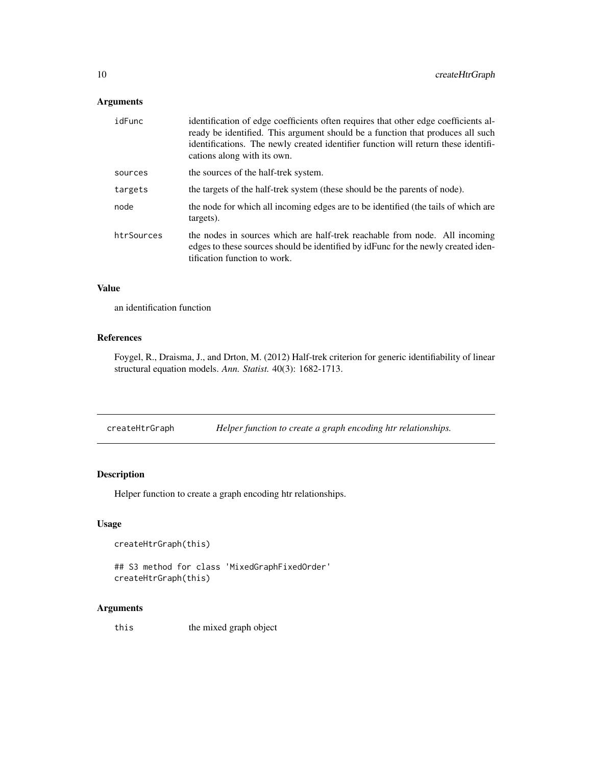### <span id="page-9-0"></span>Arguments

| idFunc     | identification of edge coefficients often requires that other edge coefficients al-<br>ready be identified. This argument should be a function that produces all such<br>identifications. The newly created identifier function will return these identifi-<br>cations along with its own. |
|------------|--------------------------------------------------------------------------------------------------------------------------------------------------------------------------------------------------------------------------------------------------------------------------------------------|
| sources    | the sources of the half-trek system.                                                                                                                                                                                                                                                       |
| targets    | the targets of the half-trek system (these should be the parents of node).                                                                                                                                                                                                                 |
| node       | the node for which all incoming edges are to be identified (the tails of which are<br>targets).                                                                                                                                                                                            |
| htrSources | the nodes in sources which are half-trek reachable from node. All incoming<br>edges to these sources should be identified by identified by remaining to real iden-<br>tification function to work.                                                                                         |

#### Value

an identification function

### References

Foygel, R., Draisma, J., and Drton, M. (2012) Half-trek criterion for generic identifiability of linear structural equation models. *Ann. Statist.* 40(3): 1682-1713.

createHtrGraph *Helper function to create a graph encoding htr relationships.*

### Description

Helper function to create a graph encoding htr relationships.

### Usage

```
createHtrGraph(this)
```

```
## S3 method for class 'MixedGraphFixedOrder'
createHtrGraph(this)
```
### Arguments

this the mixed graph object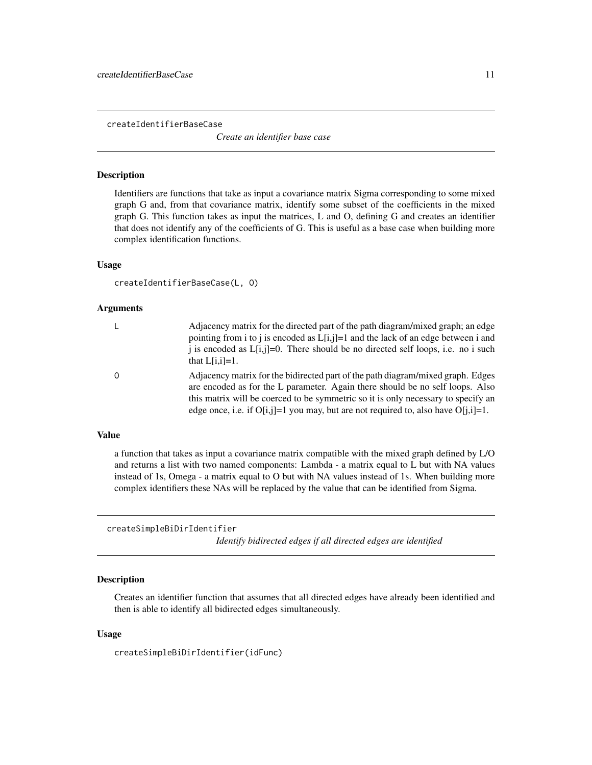<span id="page-10-0"></span>createIdentifierBaseCase

*Create an identifier base case*

### **Description**

Identifiers are functions that take as input a covariance matrix Sigma corresponding to some mixed graph G and, from that covariance matrix, identify some subset of the coefficients in the mixed graph G. This function takes as input the matrices, L and O, defining G and creates an identifier that does not identify any of the coefficients of G. This is useful as a base case when building more complex identification functions.

#### Usage

```
createIdentifierBaseCase(L, O)
```
#### Arguments

| L | Adjacency matrix for the directed part of the path diagram/mixed graph; an edge<br>pointing from i to j is encoded as $L[i,j]=1$ and the lack of an edge between i and<br>i is encoded as $L[i,j]=0$ . There should be no directed self loops, i.e. no i such<br>that $L[i,i]=1$ .                                                              |
|---|-------------------------------------------------------------------------------------------------------------------------------------------------------------------------------------------------------------------------------------------------------------------------------------------------------------------------------------------------|
| 0 | Adjacency matrix for the bidirected part of the path diagram/mixed graph. Edges<br>are encoded as for the L parameter. Again there should be no self loops. Also<br>this matrix will be coerced to be symmetric so it is only necessary to specify an<br>edge once, i.e. if $O[i,j]=1$ you may, but are not required to, also have $O[i,j]=1$ . |

### Value

a function that takes as input a covariance matrix compatible with the mixed graph defined by L/O and returns a list with two named components: Lambda - a matrix equal to L but with NA values instead of 1s, Omega - a matrix equal to O but with NA values instead of 1s. When building more complex identifiers these NAs will be replaced by the value that can be identified from Sigma.

createSimpleBiDirIdentifier

*Identify bidirected edges if all directed edges are identified*

### **Description**

Creates an identifier function that assumes that all directed edges have already been identified and then is able to identify all bidirected edges simultaneously.

#### Usage

createSimpleBiDirIdentifier(idFunc)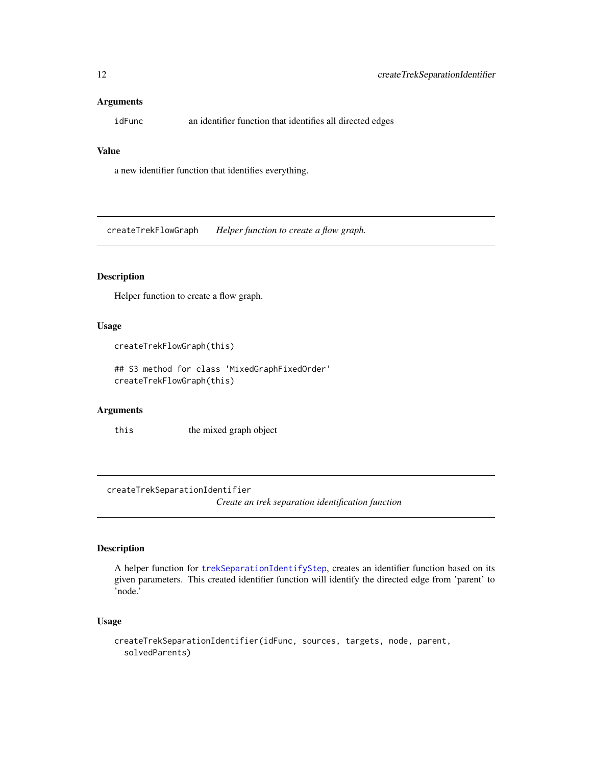#### <span id="page-11-0"></span>**Arguments**

idFunc an identifier function that identifies all directed edges

### Value

a new identifier function that identifies everything.

createTrekFlowGraph *Helper function to create a flow graph.*

### Description

Helper function to create a flow graph.

#### Usage

createTrekFlowGraph(this)

## S3 method for class 'MixedGraphFixedOrder' createTrekFlowGraph(this)

### Arguments

this the mixed graph object

createTrekSeparationIdentifier

*Create an trek separation identification function*

#### Description

A helper function for [trekSeparationIdentifyStep](#page-46-1), creates an identifier function based on its given parameters. This created identifier function will identify the directed edge from 'parent' to 'node.'

```
createTrekSeparationIdentifier(idFunc, sources, targets, node, parent,
  solvedParents)
```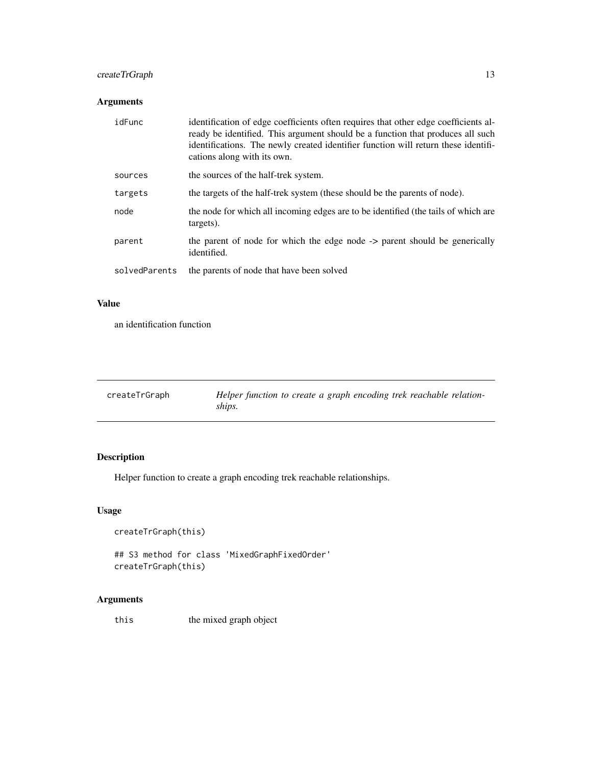### <span id="page-12-0"></span>createTrGraph 13

### Arguments

| idFunc        | identification of edge coefficients often requires that other edge coefficients al-<br>ready be identified. This argument should be a function that produces all such<br>identifications. The newly created identifier function will return these identifi-<br>cations along with its own. |
|---------------|--------------------------------------------------------------------------------------------------------------------------------------------------------------------------------------------------------------------------------------------------------------------------------------------|
| sources       | the sources of the half-trek system.                                                                                                                                                                                                                                                       |
| targets       | the targets of the half-trek system (these should be the parents of node).                                                                                                                                                                                                                 |
| node          | the node for which all incoming edges are to be identified (the tails of which are<br>targets).                                                                                                                                                                                            |
| parent        | the parent of node for which the edge node -> parent should be generically<br>identified.                                                                                                                                                                                                  |
| solvedParents | the parents of node that have been solved                                                                                                                                                                                                                                                  |

### Value

an identification function

| createTrGraph | Helper function to create a graph encoding trek reachable relation-<br>ships. |
|---------------|-------------------------------------------------------------------------------|
|               |                                                                               |

### Description

Helper function to create a graph encoding trek reachable relationships.

### Usage

```
createTrGraph(this)
```
## S3 method for class 'MixedGraphFixedOrder' createTrGraph(this)

### Arguments

this the mixed graph object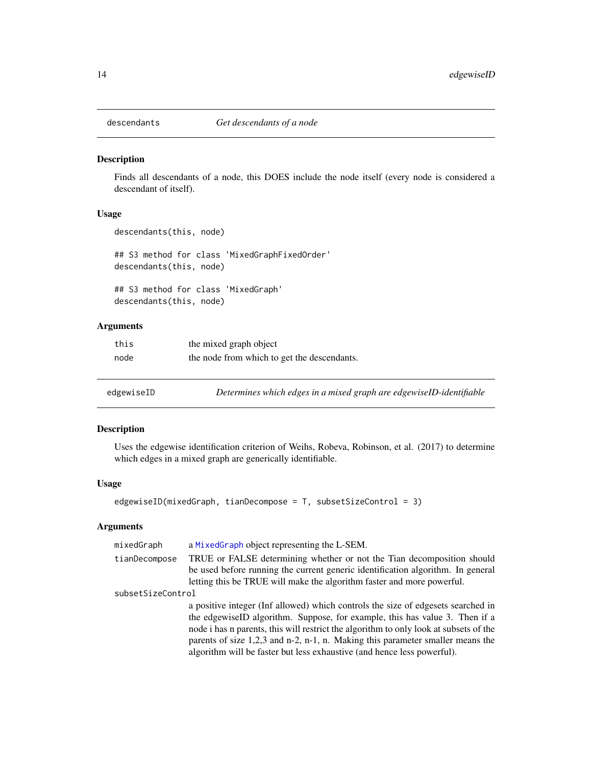<span id="page-13-0"></span>

Finds all descendants of a node, this DOES include the node itself (every node is considered a descendant of itself).

### Usage

```
descendants(this, node)
```
## S3 method for class 'MixedGraphFixedOrder' descendants(this, node)

## S3 method for class 'MixedGraph' descendants(this, node)

#### Arguments

| this | the mixed graph object                      |
|------|---------------------------------------------|
| node | the node from which to get the descendants. |

edgewiseID *Determines which edges in a mixed graph are edgewiseID-identifiable*

### Description

Uses the edgewise identification criterion of Weihs, Robeva, Robinson, et al. (2017) to determine which edges in a mixed graph are generically identifiable.

#### Usage

```
edgewiseID(mixedGraph, tianDecompose = T, subsetSizeControl = 3)
```

| mixedGraph        | a MixedGraph object representing the L-SEM.                                                                                                                                                                                                                                                                                                                                                                             |
|-------------------|-------------------------------------------------------------------------------------------------------------------------------------------------------------------------------------------------------------------------------------------------------------------------------------------------------------------------------------------------------------------------------------------------------------------------|
| tianDecompose     | TRUE or FALSE determining whether or not the Tian decomposition should<br>be used before running the current generic identification algorithm. In general<br>letting this be TRUE will make the algorithm faster and more powerful.                                                                                                                                                                                     |
| subsetSizeControl |                                                                                                                                                                                                                                                                                                                                                                                                                         |
|                   | a positive integer (Inf allowed) which controls the size of edgesets searched in<br>the edgewiseID algorithm. Suppose, for example, this has value 3. Then if a<br>node i has n parents, this will restrict the algorithm to only look at subsets of the<br>parents of size $1,2,3$ and n-2, n-1, n. Making this parameter smaller means the<br>algorithm will be faster but less exhaustive (and hence less powerful). |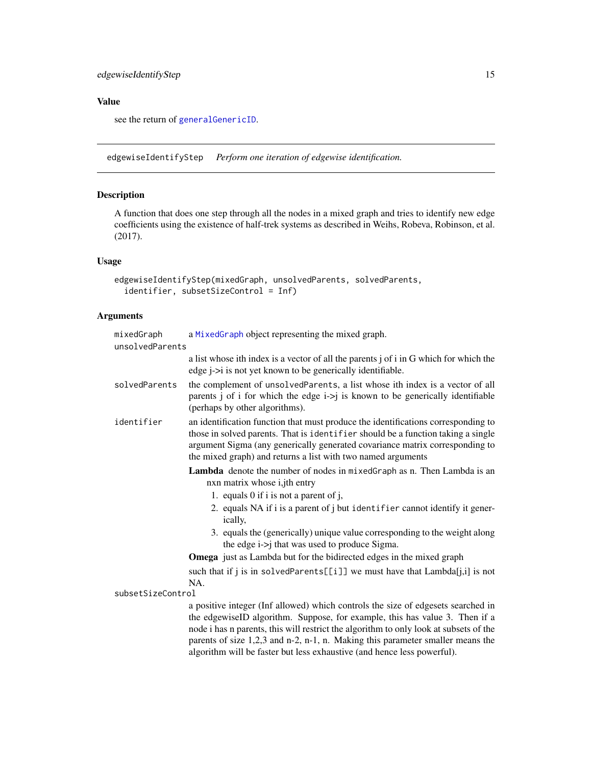### <span id="page-14-0"></span>edgewiseIdentifyStep 15

### Value

see the return of [generalGenericID](#page-17-1).

<span id="page-14-1"></span>edgewiseIdentifyStep *Perform one iteration of edgewise identification.*

### Description

A function that does one step through all the nodes in a mixed graph and tries to identify new edge coefficients using the existence of half-trek systems as described in Weihs, Robeva, Robinson, et al. (2017).

### Usage

```
edgewiseIdentifyStep(mixedGraph, unsolvedParents, solvedParents,
  identifier, subsetSizeControl = Inf)
```

| mixedGraph        | a MixedGraph object representing the mixed graph.                                                                                                                                                                                                                                                                                                                                                                     |
|-------------------|-----------------------------------------------------------------------------------------------------------------------------------------------------------------------------------------------------------------------------------------------------------------------------------------------------------------------------------------------------------------------------------------------------------------------|
| unsolvedParents   |                                                                                                                                                                                                                                                                                                                                                                                                                       |
|                   | a list whose ith index is a vector of all the parents j of i in G which for which the<br>edge <i>j</i> -> <i>i</i> is not yet known to be generically identifiable.                                                                                                                                                                                                                                                   |
| solvedParents     | the complement of unsolvedParents, a list whose ith index is a vector of all<br>parents j of i for which the edge $i$ ->j is known to be generically identifiable<br>(perhaps by other algorithms).                                                                                                                                                                                                                   |
| identifier        | an identification function that must produce the identifications corresponding to<br>those in solved parents. That is identifier should be a function taking a single<br>argument Sigma (any generically generated covariance matrix corresponding to<br>the mixed graph) and returns a list with two named arguments                                                                                                 |
|                   | <b>Lambda</b> denote the number of nodes in mixed Graph as n. Then Lambda is an<br>nxn matrix whose i,jth entry                                                                                                                                                                                                                                                                                                       |
|                   | 1. equals 0 if i is not a parent of j,                                                                                                                                                                                                                                                                                                                                                                                |
|                   | 2. equals NA if i is a parent of j but identifier cannot identify it gener-<br>ically,                                                                                                                                                                                                                                                                                                                                |
|                   | 3. equals the (generically) unique value corresponding to the weight along<br>the edge i->j that was used to produce Sigma.                                                                                                                                                                                                                                                                                           |
|                   | <b>Omega</b> just as Lambda but for the bidirected edges in the mixed graph                                                                                                                                                                                                                                                                                                                                           |
|                   | such that if j is in solvedParents[[i]] we must have that Lambda[j,i] is not<br>NA.                                                                                                                                                                                                                                                                                                                                   |
| subsetSizeControl |                                                                                                                                                                                                                                                                                                                                                                                                                       |
|                   | a positive integer (Inf allowed) which controls the size of edgesets searched in<br>the edgewiseID algorithm. Suppose, for example, this has value 3. Then if a<br>node i has n parents, this will restrict the algorithm to only look at subsets of the<br>parents of size 1,2,3 and n-2, n-1, n. Making this parameter smaller means the<br>algorithm will be faster but less exhaustive (and hence less powerful). |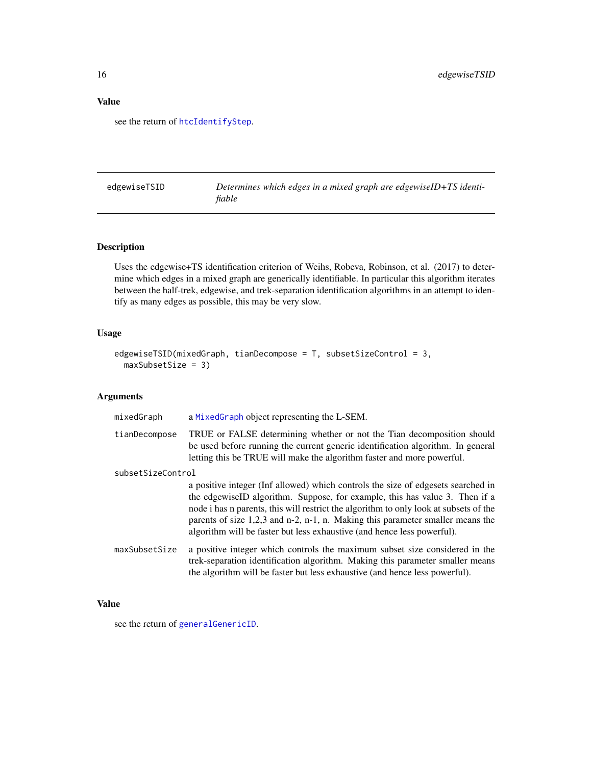### <span id="page-15-0"></span>Value

see the return of [htcIdentifyStep](#page-30-1).

edgewiseTSID *Determines which edges in a mixed graph are edgewiseID+TS identifiable*

### Description

Uses the edgewise+TS identification criterion of Weihs, Robeva, Robinson, et al. (2017) to determine which edges in a mixed graph are generically identifiable. In particular this algorithm iterates between the half-trek, edgewise, and trek-separation identification algorithms in an attempt to identify as many edges as possible, this may be very slow.

### Usage

```
edgewiseTSID(mixedGraph, tianDecompose = T, subsetSizeControl = 3,
 maxSubsetSize = 3)
```
### Arguments

| mixedGraph        | a MixedGraph object representing the L-SEM.                                                                                                                                                                                                                                                                                                                                                                             |
|-------------------|-------------------------------------------------------------------------------------------------------------------------------------------------------------------------------------------------------------------------------------------------------------------------------------------------------------------------------------------------------------------------------------------------------------------------|
| tianDecompose     | TRUE or FALSE determining whether or not the Tian decomposition should<br>be used before running the current generic identification algorithm. In general<br>letting this be TRUE will make the algorithm faster and more powerful.                                                                                                                                                                                     |
| subsetSizeControl |                                                                                                                                                                                                                                                                                                                                                                                                                         |
|                   | a positive integer (Inf allowed) which controls the size of edgesets searched in<br>the edgewiseID algorithm. Suppose, for example, this has value 3. Then if a<br>node i has n parents, this will restrict the algorithm to only look at subsets of the<br>parents of size $1,2,3$ and n-2, n-1, n. Making this parameter smaller means the<br>algorithm will be faster but less exhaustive (and hence less powerful). |
| maxSubsetSize     | a positive integer which controls the maximum subset size considered in the<br>trek-separation identification algorithm. Making this parameter smaller means<br>the algorithm will be faster but less exhaustive (and hence less powerful).                                                                                                                                                                             |

#### Value

see the return of [generalGenericID](#page-17-1).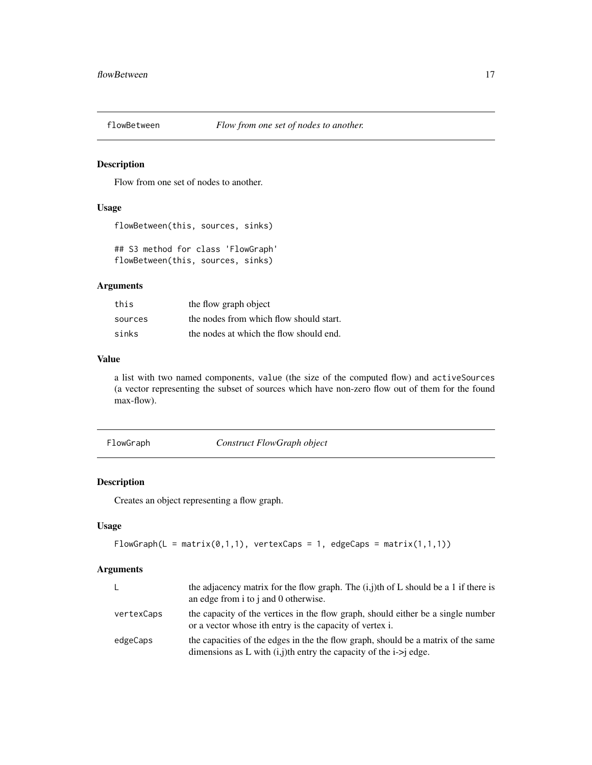<span id="page-16-0"></span>

Flow from one set of nodes to another.

### Usage

flowBetween(this, sources, sinks)

## S3 method for class 'FlowGraph' flowBetween(this, sources, sinks)

### Arguments

| this    | the flow graph object                   |
|---------|-----------------------------------------|
| sources | the nodes from which flow should start. |
| sinks   | the nodes at which the flow should end. |

#### Value

a list with two named components, value (the size of the computed flow) and activeSources (a vector representing the subset of sources which have non-zero flow out of them for the found max-flow).

FlowGraph *Construct FlowGraph object*

#### Description

Creates an object representing a flow graph.

### Usage

```
FlowGraph(L = matrix(0,1,1), vertexCaps = 1, edgeCaps = matrix(1,1,1))
```

| L.         | the adjacency matrix for the flow graph. The $(i,j)$ th of L should be a 1 if there is<br>an edge from i to j and 0 otherwise.                             |
|------------|------------------------------------------------------------------------------------------------------------------------------------------------------------|
| vertexCaps | the capacity of the vertices in the flow graph, should either be a single number<br>or a vector whose ith entry is the capacity of vertex i.               |
| edgeCaps   | the capacities of the edges in the the flow graph, should be a matrix of the same<br>dimensions as L with $(i, j)$ th entry the capacity of the i->j edge. |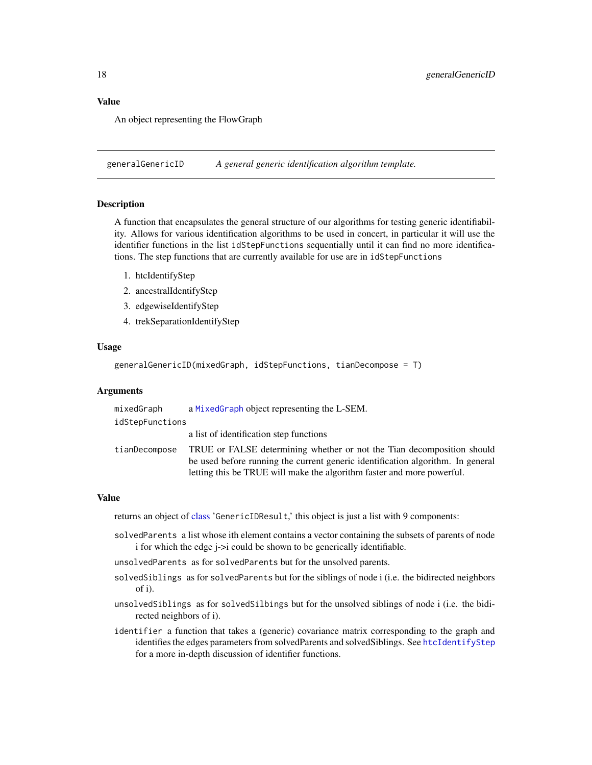### <span id="page-17-0"></span>Value

An object representing the FlowGraph

<span id="page-17-1"></span>generalGenericID *A general generic identification algorithm template.*

#### **Description**

A function that encapsulates the general structure of our algorithms for testing generic identifiability. Allows for various identification algorithms to be used in concert, in particular it will use the identifier functions in the list idStepFunctions sequentially until it can find no more identifications. The step functions that are currently available for use are in idStepFunctions

- 1. htcIdentifyStep
- 2. ancestralIdentifyStep
- 3. edgewiseIdentifyStep
- 4. trekSeparationIdentifyStep

#### Usage

```
generalGenericID(mixedGraph, idStepFunctions, tianDecompose = T)
```
#### Arguments

| mixedGraph      | a MixedGraph object representing the L-SEM.                                                                                                                                                                                         |  |
|-----------------|-------------------------------------------------------------------------------------------------------------------------------------------------------------------------------------------------------------------------------------|--|
| idStepFunctions |                                                                                                                                                                                                                                     |  |
|                 | a list of identification step functions                                                                                                                                                                                             |  |
| tianDecompose   | TRUE or FALSE determining whether or not the Tian decomposition should<br>be used before running the current generic identification algorithm. In general<br>letting this be TRUE will make the algorithm faster and more powerful. |  |

#### Value

returns an object of [class](#page-0-0) 'GenericIDResult,' this object is just a list with 9 components:

- solvedParents a list whose ith element contains a vector containing the subsets of parents of node i for which the edge j->i could be shown to be generically identifiable.
- unsolvedParents as for solvedParents but for the unsolved parents.
- solvedSiblings as for solvedParents but for the siblings of node i (i.e. the bidirected neighbors of i).
- unsolvedSiblings as for solvedSilbings but for the unsolved siblings of node i (i.e. the bidirected neighbors of i).
- identifier a function that takes a (generic) covariance matrix corresponding to the graph and identifies the edges parameters from solvedParents and solvedSiblings. See [htcIdentifyStep](#page-30-1) for a more in-depth discussion of identifier functions.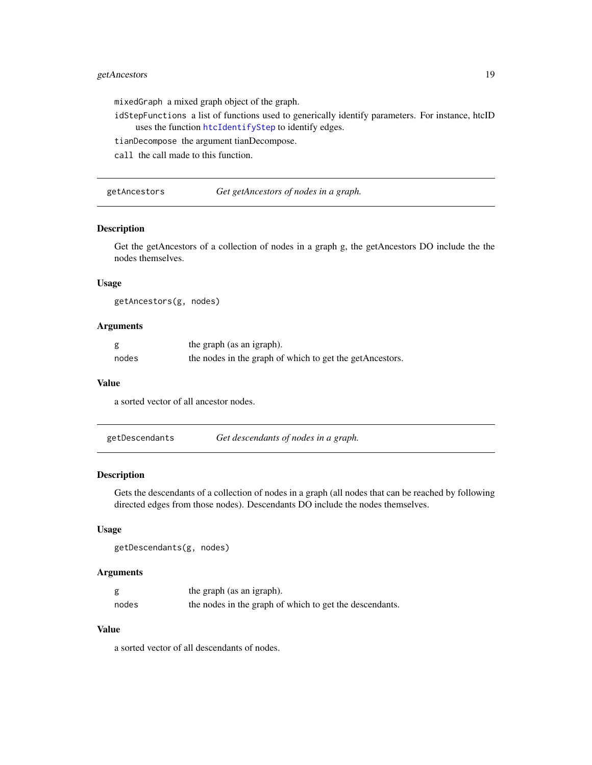### <span id="page-18-0"></span>getAncestors 19

mixedGraph a mixed graph object of the graph.

idStepFunctions a list of functions used to generically identify parameters. For instance, htcID uses the function [htcIdentifyStep](#page-30-1) to identify edges.

tianDecompose the argument tianDecompose.

call the call made to this function.

getAncestors *Get getAncestors of nodes in a graph.*

### Description

Get the getAncestors of a collection of nodes in a graph g, the getAncestors DO include the the nodes themselves.

#### Usage

getAncestors(g, nodes)

#### Arguments

|       | the graph (as an igraph).                                |
|-------|----------------------------------------------------------|
| nodes | the nodes in the graph of which to get the getAncestors. |

#### Value

a sorted vector of all ancestor nodes.

#### Description

Gets the descendants of a collection of nodes in a graph (all nodes that can be reached by following directed edges from those nodes). Descendants DO include the nodes themselves.

#### Usage

```
getDescendants(g, nodes)
```
#### Arguments

| g     | the graph (as an igraph).                               |
|-------|---------------------------------------------------------|
| nodes | the nodes in the graph of which to get the descendants. |

#### Value

a sorted vector of all descendants of nodes.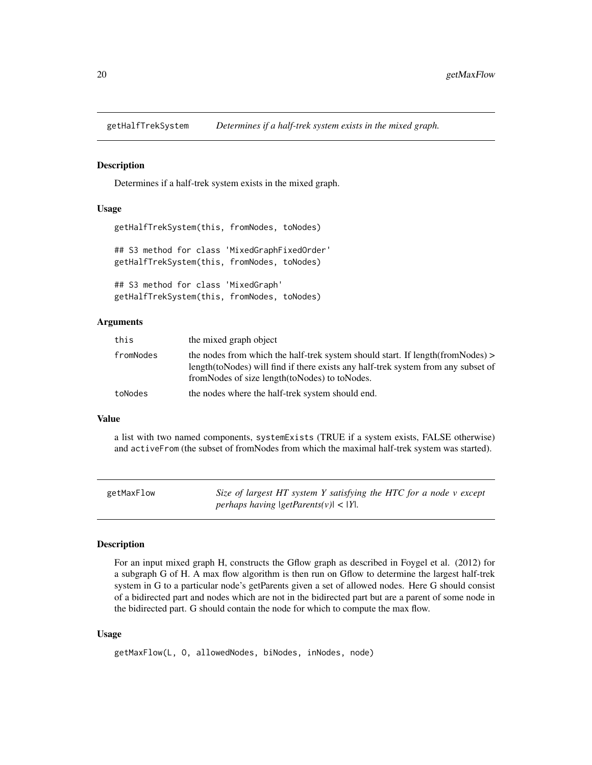<span id="page-19-0"></span>

Determines if a half-trek system exists in the mixed graph.

#### Usage

```
getHalfTrekSystem(this, fromNodes, toNodes)
## S3 method for class 'MixedGraphFixedOrder'
getHalfTrekSystem(this, fromNodes, toNodes)
## S3 method for class 'MixedGraph'
getHalfTrekSystem(this, fromNodes, toNodes)
```
#### Arguments

| this      | the mixed graph object                                                                                                                                                                                                      |
|-----------|-----------------------------------------------------------------------------------------------------------------------------------------------------------------------------------------------------------------------------|
| fromNodes | the nodes from which the half-trek system should start. If length $(fromNodes)$<br>length (to Nodes) will find if there exists any half-trek system from any subset of<br>from Nodes of size length (to Nodes) to to Nodes. |
| toNodes   | the nodes where the half-trek system should end.                                                                                                                                                                            |

#### Value

a list with two named components, systemExists (TRUE if a system exists, FALSE otherwise) and activeFrom (the subset of fromNodes from which the maximal half-trek system was started).

| getMaxFlow | Size of largest HT system Y satisfying the HTC for a node v except |
|------------|--------------------------------------------------------------------|
|            | <i>perhaps having <math> getParents(v)  &lt;  Y </math>.</i>       |

#### Description

For an input mixed graph H, constructs the Gflow graph as described in Foygel et al. (2012) for a subgraph G of H. A max flow algorithm is then run on Gflow to determine the largest half-trek system in G to a particular node's getParents given a set of allowed nodes. Here G should consist of a bidirected part and nodes which are not in the bidirected part but are a parent of some node in the bidirected part. G should contain the node for which to compute the max flow.

```
getMaxFlow(L, O, allowedNodes, biNodes, inNodes, node)
```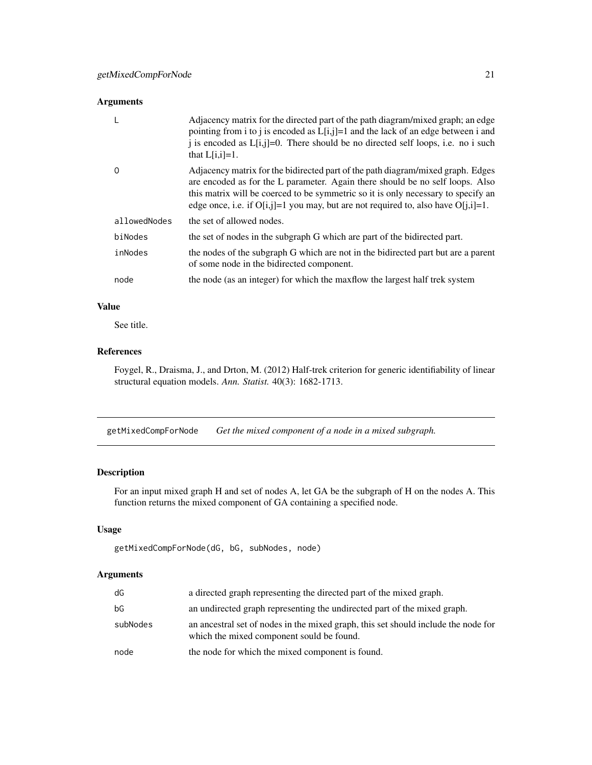#### <span id="page-20-0"></span>Arguments

|              | Adjacency matrix for the directed part of the path diagram/mixed graph; an edge<br>pointing from i to j is encoded as $L[i,j]=1$ and the lack of an edge between i and<br>i is encoded as $L[i,j]=0$ . There should be no directed self loops, i.e. no i such<br>that $L[i,i]=1$ .                                                              |
|--------------|-------------------------------------------------------------------------------------------------------------------------------------------------------------------------------------------------------------------------------------------------------------------------------------------------------------------------------------------------|
| $\Omega$     | Adjacency matrix for the bidirected part of the path diagram/mixed graph. Edges<br>are encoded as for the L parameter. Again there should be no self loops. Also<br>this matrix will be coerced to be symmetric so it is only necessary to specify an<br>edge once, i.e. if $O[i,j]=1$ you may, but are not required to, also have $O[i,i]=1$ . |
| allowedNodes | the set of allowed nodes.                                                                                                                                                                                                                                                                                                                       |
| biNodes      | the set of nodes in the subgraph G which are part of the bidirected part.                                                                                                                                                                                                                                                                       |
| inNodes      | the nodes of the subgraph G which are not in the bidirected part but are a parent<br>of some node in the bidirected component.                                                                                                                                                                                                                  |
| node         | the node (as an integer) for which the maxilow the largest half trek system                                                                                                                                                                                                                                                                     |

### Value

See title.

### References

Foygel, R., Draisma, J., and Drton, M. (2012) Half-trek criterion for generic identifiability of linear structural equation models. *Ann. Statist.* 40(3): 1682-1713.

getMixedCompForNode *Get the mixed component of a node in a mixed subgraph.*

### Description

For an input mixed graph H and set of nodes A, let GA be the subgraph of H on the nodes A. This function returns the mixed component of GA containing a specified node.

### Usage

```
getMixedCompForNode(dG, bG, subNodes, node)
```

| dG       | a directed graph representing the directed part of the mixed graph.                                                             |
|----------|---------------------------------------------------------------------------------------------------------------------------------|
| bG       | an undirected graph representing the undirected part of the mixed graph.                                                        |
| subNodes | an ancestral set of nodes in the mixed graph, this set should include the node for<br>which the mixed component sould be found. |
| node     | the node for which the mixed component is found.                                                                                |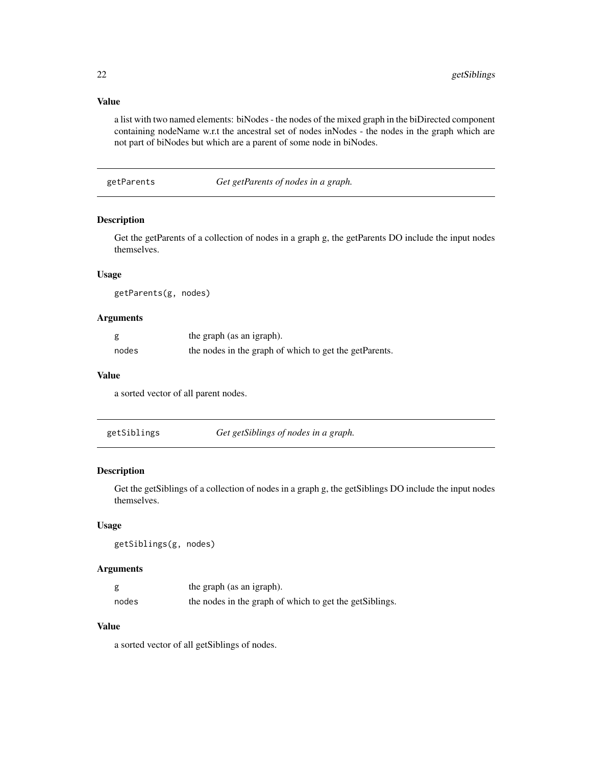### <span id="page-21-0"></span>Value

a list with two named elements: biNodes - the nodes of the mixed graph in the biDirected component containing nodeName w.r.t the ancestral set of nodes inNodes - the nodes in the graph which are not part of biNodes but which are a parent of some node in biNodes.

getParents *Get getParents of nodes in a graph.*

### Description

Get the getParents of a collection of nodes in a graph g, the getParents DO include the input nodes themselves.

### Usage

getParents(g, nodes)

#### Arguments

| g     | the graph (as an igraph).                              |
|-------|--------------------------------------------------------|
| nodes | the nodes in the graph of which to get the getParents. |

#### Value

a sorted vector of all parent nodes.

| getSiblings | Get getSiblings of nodes in a graph. |  |
|-------------|--------------------------------------|--|
|-------------|--------------------------------------|--|

### Description

Get the getSiblings of a collection of nodes in a graph g, the getSiblings DO include the input nodes themselves.

### Usage

```
getSiblings(g, nodes)
```
### Arguments

|       | the graph (as an igraph).                                |
|-------|----------------------------------------------------------|
| nodes | the nodes in the graph of which to get the get Siblings. |

### Value

a sorted vector of all getSiblings of nodes.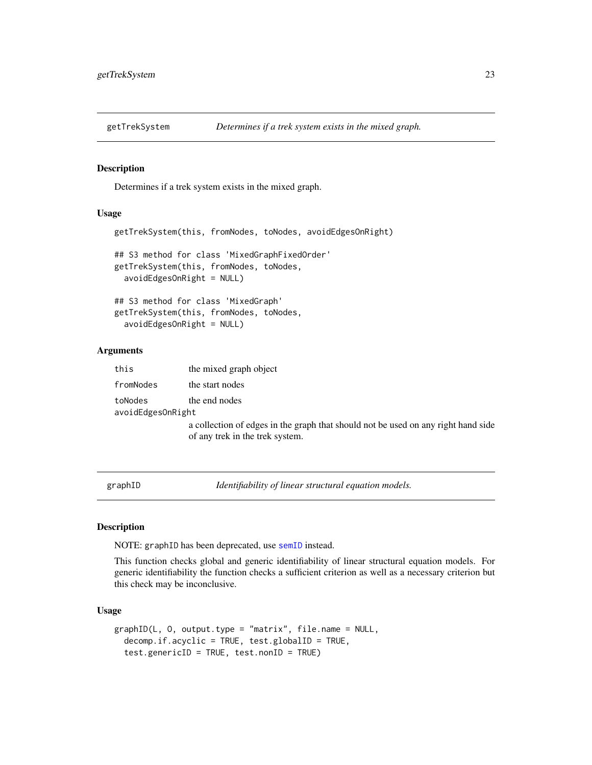<span id="page-22-0"></span>

Determines if a trek system exists in the mixed graph.

### Usage

```
getTrekSystem(this, fromNodes, toNodes, avoidEdgesOnRight)
## S3 method for class 'MixedGraphFixedOrder'
getTrekSystem(this, fromNodes, toNodes,
  avoidEdgesOnRight = NULL)
## S3 method for class 'MixedGraph'
getTrekSystem(this, fromNodes, toNodes,
  avoidEdgesOnRight = NULL)
```
#### Arguments

| this                         | the mixed graph object                                                                                               |
|------------------------------|----------------------------------------------------------------------------------------------------------------------|
| fromNodes                    | the start nodes                                                                                                      |
| toNodes<br>avoidEdgesOnRight | the end nodes                                                                                                        |
|                              | a collection of edges in the graph that should not be used on any right hand side<br>of any trek in the trek system. |

<span id="page-22-1"></span>graphID *Identifiability of linear structural equation models.*

#### Description

NOTE: graphID has been deprecated, use [semID](#page-40-1) instead.

This function checks global and generic identifiability of linear structural equation models. For generic identifiability the function checks a sufficient criterion as well as a necessary criterion but this check may be inconclusive.

```
graphID(L, O, output.type = "matrix", file.name = NULL,
  decomp.if.acyclic = TRUE, test.globalID = TRUE,
  test.genericID = TRUE, test.nonID = TRUE)
```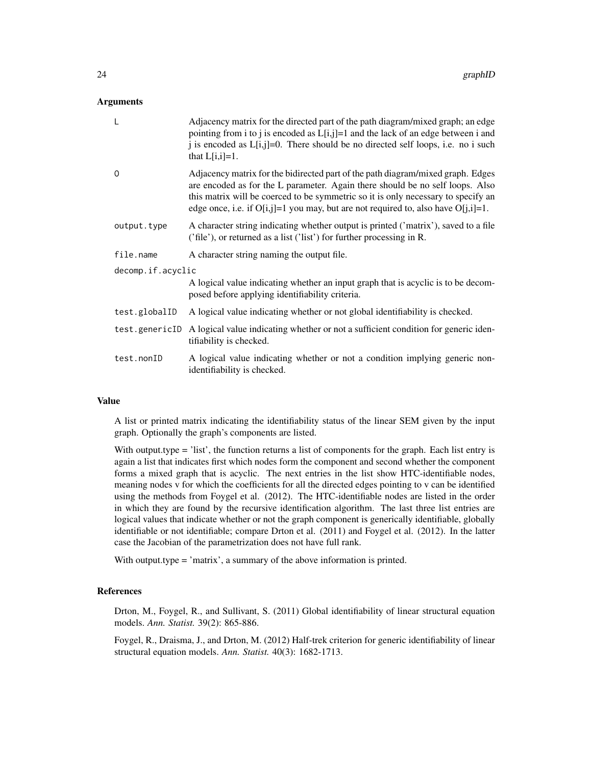#### Arguments

| $\mathsf{L}$      | Adjacency matrix for the directed part of the path diagram/mixed graph; an edge<br>pointing from i to j is encoded as $L[i,j]=1$ and the lack of an edge between i and<br>j is encoded as $L[i,j]=0$ . There should be no directed self loops, i.e. no i such<br>that $L[i, i]=1$ .                                                             |  |
|-------------------|-------------------------------------------------------------------------------------------------------------------------------------------------------------------------------------------------------------------------------------------------------------------------------------------------------------------------------------------------|--|
| O                 | Adjacency matrix for the bidirected part of the path diagram/mixed graph. Edges<br>are encoded as for the L parameter. Again there should be no self loops. Also<br>this matrix will be coerced to be symmetric so it is only necessary to specify an<br>edge once, i.e. if $O[i,j]=1$ you may, but are not required to, also have $O[i,i]=1$ . |  |
| output.type       | A character string indicating whether output is printed ('matrix'), saved to a file<br>('file'), or returned as a list ('list') for further processing in R.                                                                                                                                                                                    |  |
| file.name         | A character string naming the output file.                                                                                                                                                                                                                                                                                                      |  |
| decomp.if.acyclic |                                                                                                                                                                                                                                                                                                                                                 |  |
|                   | A logical value indicating whether an input graph that is acyclic is to be decom-<br>posed before applying identifiability criteria.                                                                                                                                                                                                            |  |
| test.globalID     | A logical value indicating whether or not global identifiability is checked.                                                                                                                                                                                                                                                                    |  |
| test.genericID    | A logical value indicating whether or not a sufficient condition for generic iden-<br>tifiability is checked.                                                                                                                                                                                                                                   |  |
| test.nonID        | A logical value indicating whether or not a condition implying generic non-<br>identifiability is checked.                                                                                                                                                                                                                                      |  |

#### Value

A list or printed matrix indicating the identifiability status of the linear SEM given by the input graph. Optionally the graph's components are listed.

With output.type = 'list', the function returns a list of components for the graph. Each list entry is again a list that indicates first which nodes form the component and second whether the component forms a mixed graph that is acyclic. The next entries in the list show HTC-identifiable nodes, meaning nodes v for which the coefficients for all the directed edges pointing to v can be identified using the methods from Foygel et al. (2012). The HTC-identifiable nodes are listed in the order in which they are found by the recursive identification algorithm. The last three list entries are logical values that indicate whether or not the graph component is generically identifiable, globally identifiable or not identifiable; compare Drton et al. (2011) and Foygel et al. (2012). In the latter case the Jacobian of the parametrization does not have full rank.

With output.type = 'matrix', a summary of the above information is printed.

#### References

Drton, M., Foygel, R., and Sullivant, S. (2011) Global identifiability of linear structural equation models. *Ann. Statist.* 39(2): 865-886.

Foygel, R., Draisma, J., and Drton, M. (2012) Half-trek criterion for generic identifiability of linear structural equation models. *Ann. Statist.* 40(3): 1682-1713.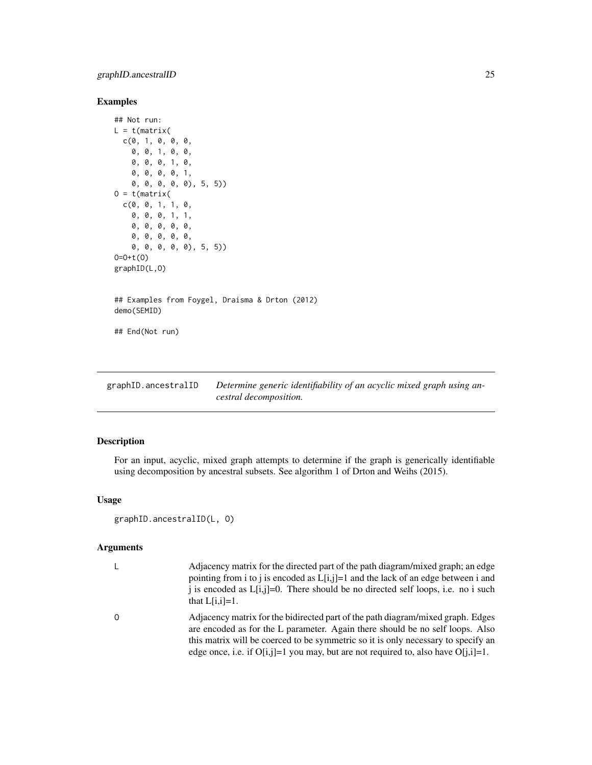### <span id="page-24-0"></span>Examples

```
## Not run:
L = t(matrix)c(0, 1, 0, 0, 0,
    0, 0, 1, 0, 0,
    0, 0, 0, 1, 0,
    0, 0, 0, 0, 1,
    0, 0, 0, 0, 0), 5, 5))
0 = t(matrix)c(0, 0, 1, 1, 0,
    0, 0, 0, 1, 1,
    0, 0, 0, 0, 0,
    0, 0, 0, 0, 0,
    0, 0, 0, 0, 0), 5, 5))
O=O+t(O)
graphID(L,O)
## Examples from Foygel, Draisma & Drton (2012)
demo(SEMID)
## End(Not run)
```
<span id="page-24-1"></span>graphID.ancestralID *Determine generic identifiability of an acyclic mixed graph using ancestral decomposition.*

### Description

For an input, acyclic, mixed graph attempts to determine if the graph is generically identifiable using decomposition by ancestral subsets. See algorithm 1 of Drton and Weihs (2015).

### Usage

```
graphID.ancestralID(L, O)
```

| Adjacency matrix for the directed part of the path diagram/mixed graph; an edge<br>pointing from i to j is encoded as $L[i,j]=1$ and the lack of an edge between i and<br>i is encoded as $L[i,j]=0$ . There should be no directed self loops, i.e. no i such<br>that $L[i,i]=1$ .                                                              |
|-------------------------------------------------------------------------------------------------------------------------------------------------------------------------------------------------------------------------------------------------------------------------------------------------------------------------------------------------|
| Adjacency matrix for the bidirected part of the path diagram/mixed graph. Edges<br>are encoded as for the L parameter. Again there should be no self loops. Also<br>this matrix will be coerced to be symmetric so it is only necessary to specify an<br>edge once, i.e. if $O[i,j]=1$ you may, but are not required to, also have $O[i,j]=1$ . |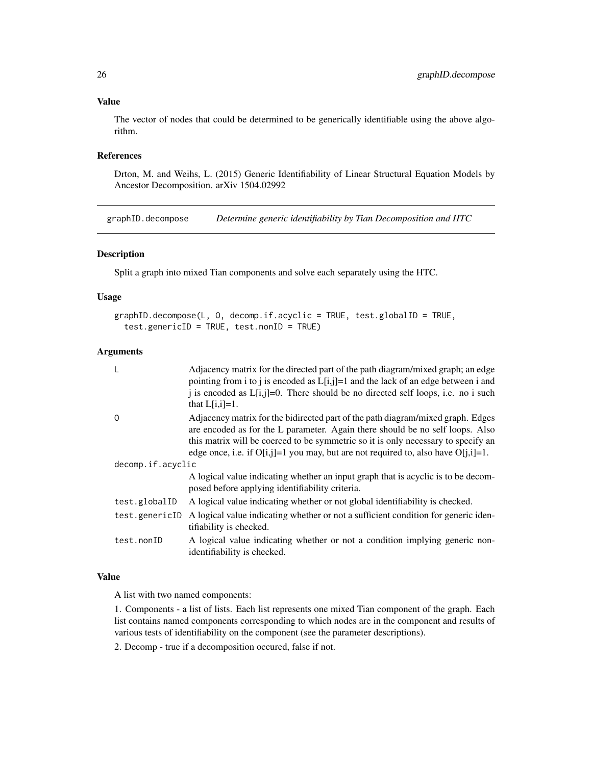#### Value

The vector of nodes that could be determined to be generically identifiable using the above algorithm.

### References

Drton, M. and Weihs, L. (2015) Generic Identifiability of Linear Structural Equation Models by Ancestor Decomposition. arXiv 1504.02992

graphID.decompose *Determine generic identifiability by Tian Decomposition and HTC*

### Description

Split a graph into mixed Tian components and solve each separately using the HTC.

#### Usage

```
graphID.decompose(L, O, decomp.if.acyclic = TRUE, test.globalID = TRUE,
  test.genericID = TRUE, test.nonID = TRUE)
```
#### Arguments

| L                 | Adjacency matrix for the directed part of the path diagram/mixed graph; an edge<br>pointing from i to j is encoded as $L[i,j]=1$ and the lack of an edge between i and                                                                                                                                                                            |  |
|-------------------|---------------------------------------------------------------------------------------------------------------------------------------------------------------------------------------------------------------------------------------------------------------------------------------------------------------------------------------------------|--|
|                   | i is encoded as $L[i,j]=0$ . There should be no directed self loops, i.e. no i such<br>that $L[i,i]=1$ .                                                                                                                                                                                                                                          |  |
| 0                 | Adjacency matrix for the bidirected part of the path diagram/mixed graph. Edges<br>are encoded as for the L parameter. Again there should be no self loops. Also<br>this matrix will be coerced to be symmetric so it is only necessary to specify an<br>edge once, i.e. if $O[i, j]=1$ you may, but are not required to, also have $O[i, i]=1$ . |  |
| decomp.if.acyclic |                                                                                                                                                                                                                                                                                                                                                   |  |
|                   | A logical value indicating whether an input graph that is acyclic is to be decom-<br>posed before applying identifiability criteria.                                                                                                                                                                                                              |  |
| test.globalID     | A logical value indicating whether or not global identifiability is checked.                                                                                                                                                                                                                                                                      |  |
| test.genericID    | A logical value indicating whether or not a sufficient condition for generic iden-<br>tifiability is checked.                                                                                                                                                                                                                                     |  |
| test.nonID        | A logical value indicating whether or not a condition implying generic non-<br>identifiability is checked.                                                                                                                                                                                                                                        |  |

#### Value

A list with two named components:

1. Components - a list of lists. Each list represents one mixed Tian component of the graph. Each list contains named components corresponding to which nodes are in the component and results of various tests of identifiability on the component (see the parameter descriptions).

2. Decomp - true if a decomposition occured, false if not.

<span id="page-25-0"></span>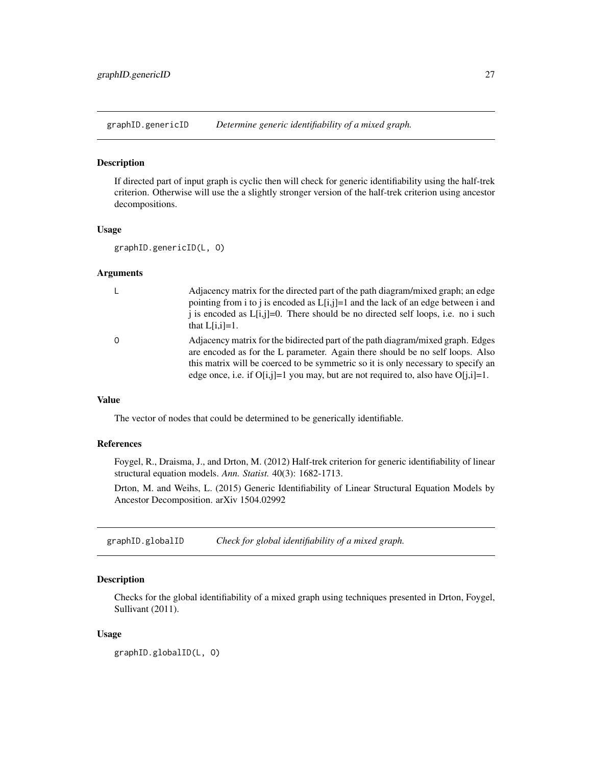<span id="page-26-0"></span>graphID.genericID *Determine generic identifiability of a mixed graph.*

#### Description

If directed part of input graph is cyclic then will check for generic identifiability using the half-trek criterion. Otherwise will use the a slightly stronger version of the half-trek criterion using ancestor decompositions.

#### Usage

```
graphID.genericID(L, O)
```
#### Arguments

| $\perp$  | Adjacency matrix for the directed part of the path diagram/mixed graph; an edge<br>pointing from i to j is encoded as $L[i,j]=1$ and the lack of an edge between i and<br>i is encoded as $L[i,j]=0$ . There should be no directed self loops, i.e. no i such<br>that $L[i,i]=1$ .                                                                |
|----------|---------------------------------------------------------------------------------------------------------------------------------------------------------------------------------------------------------------------------------------------------------------------------------------------------------------------------------------------------|
| $\Omega$ | Adjacency matrix for the bidirected part of the path diagram/mixed graph. Edges<br>are encoded as for the L parameter. Again there should be no self loops. Also<br>this matrix will be coerced to be symmetric so it is only necessary to specify an<br>edge once, i.e. if $O[i, j]=1$ you may, but are not required to, also have $O[i, i]=1$ . |

#### Value

The vector of nodes that could be determined to be generically identifiable.

#### References

Foygel, R., Draisma, J., and Drton, M. (2012) Half-trek criterion for generic identifiability of linear structural equation models. *Ann. Statist.* 40(3): 1682-1713.

Drton, M. and Weihs, L. (2015) Generic Identifiability of Linear Structural Equation Models by Ancestor Decomposition. arXiv 1504.02992

<span id="page-26-1"></span>graphID.globalID *Check for global identifiability of a mixed graph.*

### Description

Checks for the global identifiability of a mixed graph using techniques presented in Drton, Foygel, Sullivant (2011).

#### Usage

graphID.globalID(L, O)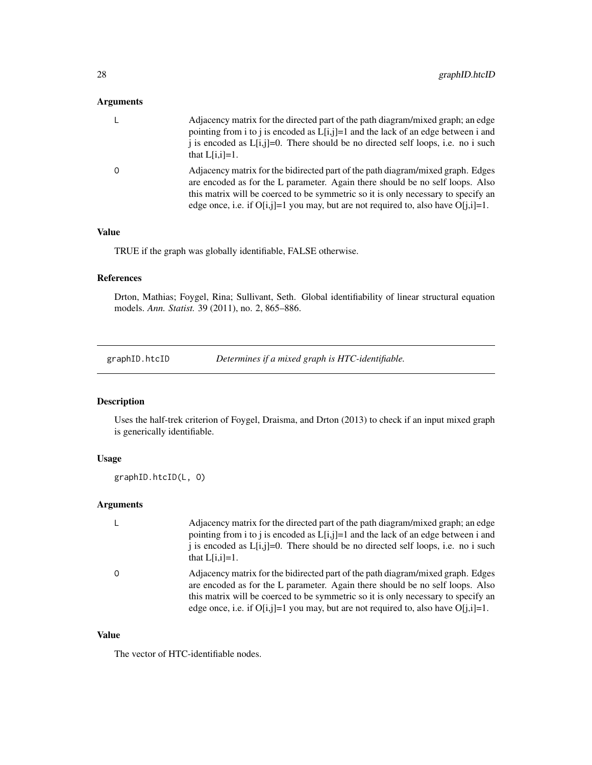### <span id="page-27-0"></span>Arguments

| Adjacency matrix for the directed part of the path diagram/mixed graph; an edge<br>pointing from i to j is encoded as $L[i,j]=1$ and the lack of an edge between i and<br>i is encoded as $L[i,j]=0$ . There should be no directed self loops, i.e. no i such<br>that $L[i,i]=1$ .                                                              |
|-------------------------------------------------------------------------------------------------------------------------------------------------------------------------------------------------------------------------------------------------------------------------------------------------------------------------------------------------|
| Adjacency matrix for the bidirected part of the path diagram/mixed graph. Edges<br>are encoded as for the L parameter. Again there should be no self loops. Also<br>this matrix will be coerced to be symmetric so it is only necessary to specify an<br>edge once, i.e. if $O[i,j]=1$ you may, but are not required to, also have $O[i,j]=1$ . |

### Value

TRUE if the graph was globally identifiable, FALSE otherwise.

### References

Drton, Mathias; Foygel, Rina; Sullivant, Seth. Global identifiability of linear structural equation models. *Ann. Statist.* 39 (2011), no. 2, 865–886.

<span id="page-27-1"></span>graphID.htcID *Determines if a mixed graph is HTC-identifiable.*

### Description

Uses the half-trek criterion of Foygel, Draisma, and Drton (2013) to check if an input mixed graph is generically identifiable.

### Usage

graphID.htcID(L, O)

### Arguments

| L | Adjacency matrix for the directed part of the path diagram/mixed graph; an edge<br>pointing from i to j is encoded as $L[i,j]=1$ and the lack of an edge between i and<br>i is encoded as $L[i,j]=0$ . There should be no directed self loops, i.e. no i such<br>that $L[i,i]=1$ .                                                                |
|---|---------------------------------------------------------------------------------------------------------------------------------------------------------------------------------------------------------------------------------------------------------------------------------------------------------------------------------------------------|
| 0 | Adjacency matrix for the bidirected part of the path diagram/mixed graph. Edges<br>are encoded as for the L parameter. Again there should be no self loops. Also<br>this matrix will be coerced to be symmetric so it is only necessary to specify an<br>edge once, i.e. if $O[i, j]=1$ you may, but are not required to, also have $O[i, i]=1$ . |

#### Value

The vector of HTC-identifiable nodes.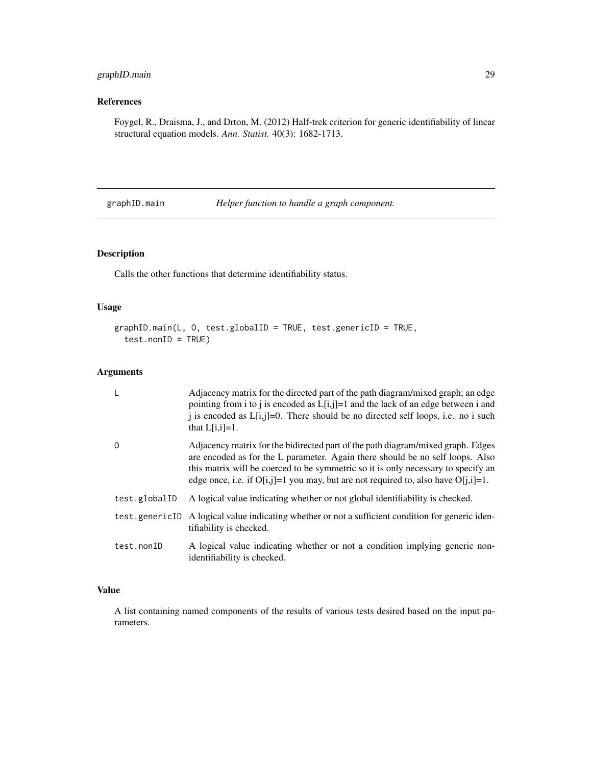### <span id="page-28-0"></span>graphID.main 29

### References

Foygel, R., Draisma, J., and Drton, M. (2012) Half-trek criterion for generic identifiability of linear structural equation models. *Ann. Statist.* 40(3): 1682-1713.

graphID.main *Helper function to handle a graph component.*

### Description

Calls the other functions that determine identifiability status.

#### Usage

```
graphID.main(L, O, test.globalID = TRUE, test.genericID = TRUE,
  test.nonID = TRUE)
```
### Arguments

| L              | Adjacency matrix for the directed part of the path diagram/mixed graph; an edge<br>pointing from i to j is encoded as $L[i,j]=1$ and the lack of an edge between i and<br>i is encoded as $L[i,j]=0$ . There should be no directed self loops, i.e. no i such<br>that $L[i,i]=1$ .                                                                |
|----------------|---------------------------------------------------------------------------------------------------------------------------------------------------------------------------------------------------------------------------------------------------------------------------------------------------------------------------------------------------|
| 0              | Adjacency matrix for the bidirected part of the path diagram/mixed graph. Edges<br>are encoded as for the L parameter. Again there should be no self loops. Also<br>this matrix will be coerced to be symmetric so it is only necessary to specify an<br>edge once, i.e. if $O[i, j]=1$ you may, but are not required to, also have $O[i, i]=1$ . |
| test.globalID  | A logical value indicating whether or not global identifiability is checked.                                                                                                                                                                                                                                                                      |
| test.genericID | A logical value indicating whether or not a sufficient condition for generic iden-<br>tifiability is checked.                                                                                                                                                                                                                                     |
| test.nonID     | A logical value indicating whether or not a condition implying generic non-<br>identifiability is checked.                                                                                                                                                                                                                                        |

### Value

A list containing named components of the results of various tests desired based on the input parameters.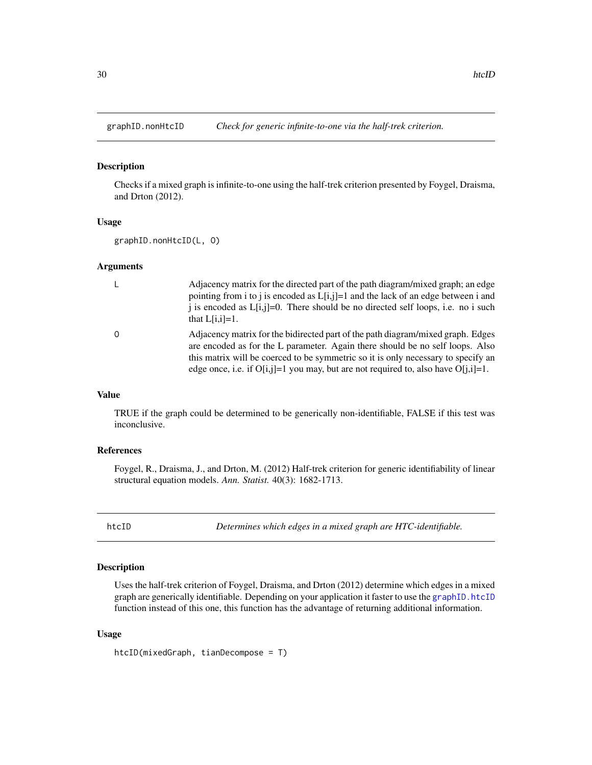<span id="page-29-1"></span><span id="page-29-0"></span>

Checks if a mixed graph is infinite-to-one using the half-trek criterion presented by Foygel, Draisma, and Drton (2012).

### Usage

graphID.nonHtcID(L, O)

#### Arguments

| L        | Adjacency matrix for the directed part of the path diagram/mixed graph; an edge<br>pointing from i to j is encoded as $L[i,j]=1$ and the lack of an edge between i and<br>i is encoded as $L[i,j]=0$ . There should be no directed self loops, i.e. no i such<br>that $L[i,i]=1$ .                                                                |
|----------|---------------------------------------------------------------------------------------------------------------------------------------------------------------------------------------------------------------------------------------------------------------------------------------------------------------------------------------------------|
| $\Omega$ | Adjacency matrix for the bidirected part of the path diagram/mixed graph. Edges<br>are encoded as for the L parameter. Again there should be no self loops. Also<br>this matrix will be coerced to be symmetric so it is only necessary to specify an<br>edge once, i.e. if $O[i, j]=1$ you may, but are not required to, also have $O[i, i]=1$ . |

### Value

TRUE if the graph could be determined to be generically non-identifiable, FALSE if this test was inconclusive.

#### References

Foygel, R., Draisma, J., and Drton, M. (2012) Half-trek criterion for generic identifiability of linear structural equation models. *Ann. Statist.* 40(3): 1682-1713.

htcID *Determines which edges in a mixed graph are HTC-identifiable.*

#### Description

Uses the half-trek criterion of Foygel, Draisma, and Drton (2012) determine which edges in a mixed graph are generically identifiable. Depending on your application it faster to use the [graphID.htcID](#page-27-1) function instead of this one, this function has the advantage of returning additional information.

#### Usage

htcID(mixedGraph, tianDecompose = T)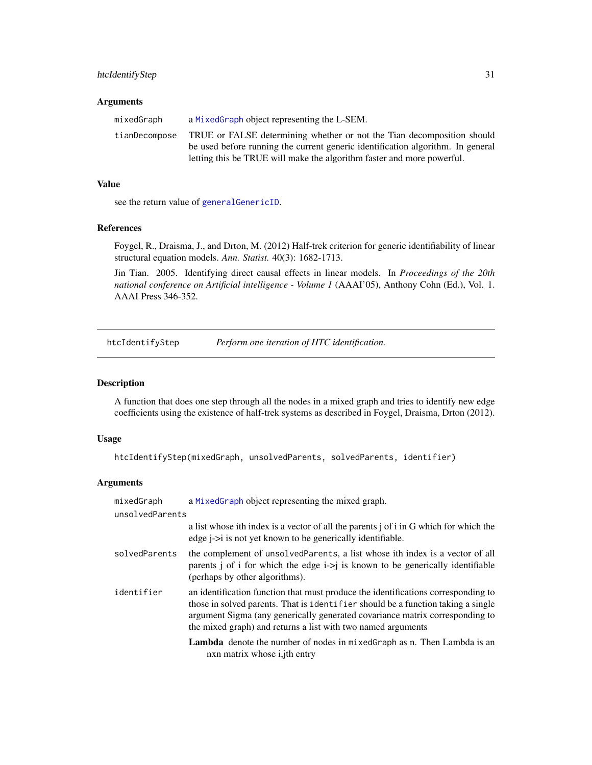### <span id="page-30-0"></span>htcIdentifyStep 31

#### **Arguments**

| mixedGraph    | a MixedGraph object representing the L-SEM.                                     |
|---------------|---------------------------------------------------------------------------------|
| tianDecompose | TRUE or FALSE determining whether or not the Tian decomposition should          |
|               | be used before running the current generic identification algorithm. In general |
|               | letting this be TRUE will make the algorithm faster and more powerful.          |

#### Value

see the return value of [generalGenericID](#page-17-1).

#### References

Foygel, R., Draisma, J., and Drton, M. (2012) Half-trek criterion for generic identifiability of linear structural equation models. *Ann. Statist.* 40(3): 1682-1713.

Jin Tian. 2005. Identifying direct causal effects in linear models. In *Proceedings of the 20th national conference on Artificial intelligence - Volume 1* (AAAI'05), Anthony Cohn (Ed.), Vol. 1. AAAI Press 346-352.

<span id="page-30-1"></span>htcIdentifyStep *Perform one iteration of HTC identification.*

### Description

A function that does one step through all the nodes in a mixed graph and tries to identify new edge coefficients using the existence of half-trek systems as described in Foygel, Draisma, Drton (2012).

#### Usage

```
htcIdentifyStep(mixedGraph, unsolvedParents, solvedParents, identifier)
```

| mixedGraph      | a MixedGraph object representing the mixed graph.                                                                                                                                                                                                                                                                     |
|-----------------|-----------------------------------------------------------------------------------------------------------------------------------------------------------------------------------------------------------------------------------------------------------------------------------------------------------------------|
| unsolvedParents |                                                                                                                                                                                                                                                                                                                       |
|                 | a list whose ith index is a vector of all the parents j of i in G which for which the<br>edge $i > i$ is not yet known to be generically identifiable.                                                                                                                                                                |
| solvedParents   | the complement of unsolved Parents, a list whose ith index is a vector of all<br>parents j of i for which the edge $i > j$ is known to be generically identifiable<br>(perhaps by other algorithms).                                                                                                                  |
| identifier      | an identification function that must produce the identifications corresponding to<br>those in solved parents. That is identifier should be a function taking a single<br>argument Sigma (any generically generated covariance matrix corresponding to<br>the mixed graph) and returns a list with two named arguments |
|                 | <b>Lambda</b> denote the number of nodes in mixed Graph as n. Then Lambda is an<br>nxn matrix whose <i>i</i> , <i>ith</i> entry                                                                                                                                                                                       |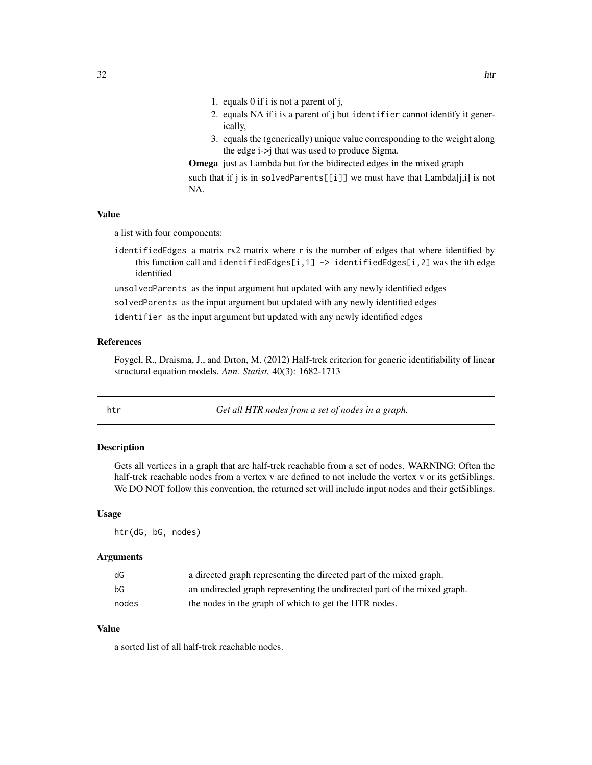- <span id="page-31-0"></span>1. equals 0 if i is not a parent of j,
- 2. equals NA if i is a parent of j but identifier cannot identify it generically,
- 3. equals the (generically) unique value corresponding to the weight along the edge i->j that was used to produce Sigma.

Omega just as Lambda but for the bidirected edges in the mixed graph such that if j is in solvedParents[[i]] we must have that Lambda[j,i] is not NA.

#### Value

a list with four components:

identifiedEdges a matrix rx2 matrix where r is the number of edges that where identified by this function call and identifiedEdges[i,1]  $\rightarrow$  identifiedEdges[i,2] was the ith edge identified

unsolvedParents as the input argument but updated with any newly identified edges

solvedParents as the input argument but updated with any newly identified edges

identifier as the input argument but updated with any newly identified edges

#### References

Foygel, R., Draisma, J., and Drton, M. (2012) Half-trek criterion for generic identifiability of linear structural equation models. *Ann. Statist.* 40(3): 1682-1713

htr *Get all HTR nodes from a set of nodes in a graph.*

#### Description

Gets all vertices in a graph that are half-trek reachable from a set of nodes. WARNING: Often the half-trek reachable nodes from a vertex v are defined to not include the vertex v or its getSiblings. We DO NOT follow this convention, the returned set will include input nodes and their getSiblings.

#### Usage

htr(dG, bG, nodes)

### Arguments

| dG    | a directed graph representing the directed part of the mixed graph.      |
|-------|--------------------------------------------------------------------------|
| bG    | an undirected graph representing the undirected part of the mixed graph. |
| nodes | the nodes in the graph of which to get the HTR nodes.                    |

### Value

a sorted list of all half-trek reachable nodes.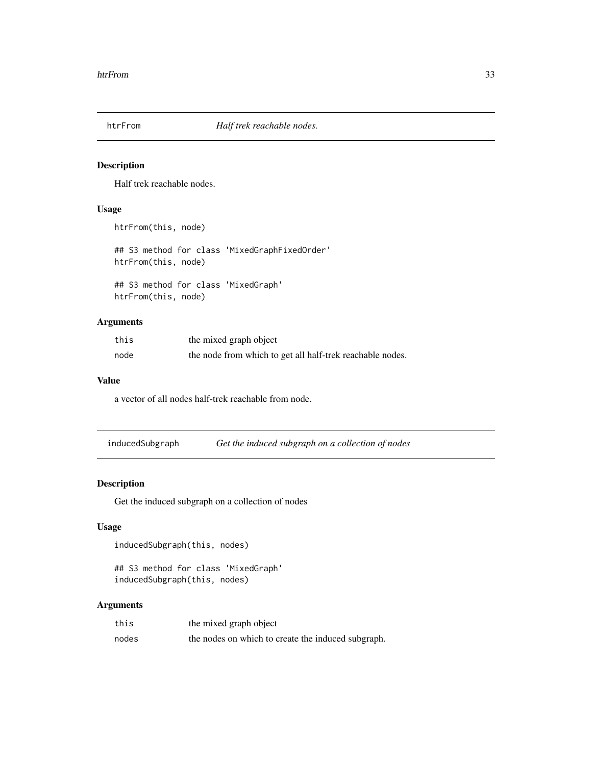<span id="page-32-1"></span><span id="page-32-0"></span>

Half trek reachable nodes.

### Usage

```
htrFrom(this, node)
## S3 method for class 'MixedGraphFixedOrder'
htrFrom(this, node)
## S3 method for class 'MixedGraph'
htrFrom(this, node)
```
### Arguments

| this | the mixed graph object                                    |
|------|-----------------------------------------------------------|
| node | the node from which to get all half-trek reachable nodes. |

#### Value

a vector of all nodes half-trek reachable from node.

inducedSubgraph *Get the induced subgraph on a collection of nodes*

### Description

Get the induced subgraph on a collection of nodes

### Usage

```
inducedSubgraph(this, nodes)
```

```
## S3 method for class 'MixedGraph'
inducedSubgraph(this, nodes)
```

| this  | the mixed graph object                             |
|-------|----------------------------------------------------|
| nodes | the nodes on which to create the induced subgraph. |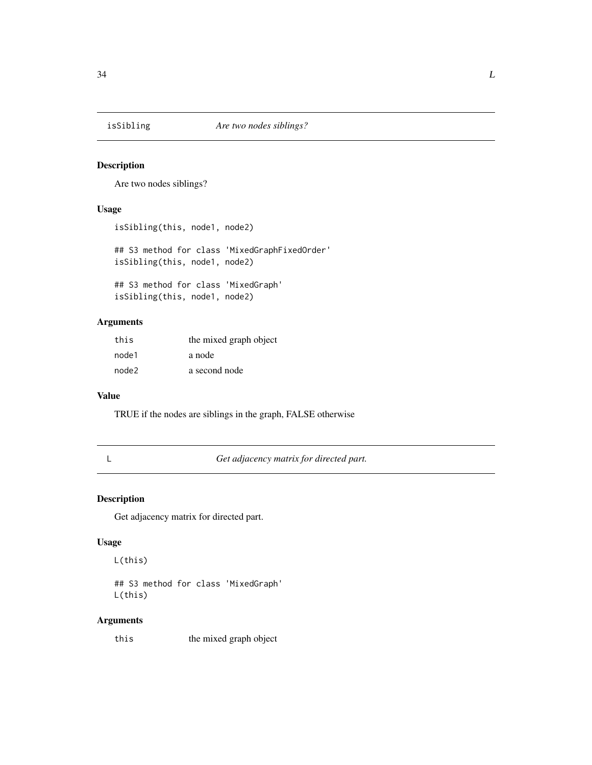<span id="page-33-0"></span>

Are two nodes siblings?

#### Usage

```
isSibling(this, node1, node2)
## S3 method for class 'MixedGraphFixedOrder'
isSibling(this, node1, node2)
## S3 method for class 'MixedGraph'
isSibling(this, node1, node2)
```
### Arguments

| this  | the mixed graph object |
|-------|------------------------|
| node1 | a node                 |
| node2 | a second node          |

#### Value

TRUE if the nodes are siblings in the graph, FALSE otherwise

L *Get adjacency matrix for directed part.*

### Description

Get adjacency matrix for directed part.

#### Usage

L(this)

## S3 method for class 'MixedGraph' L(this)

#### Arguments

this the mixed graph object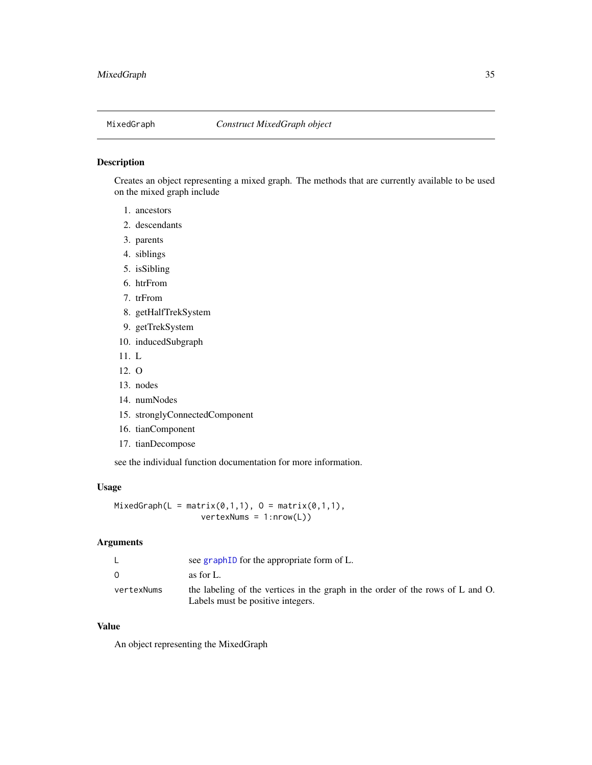<span id="page-34-1"></span><span id="page-34-0"></span>

Creates an object representing a mixed graph. The methods that are currently available to be used on the mixed graph include

- 1. ancestors
- 2. descendants
- 3. parents
- 4. siblings
- 5. isSibling
- 6. htrFrom
- 7. trFrom
- 8. getHalfTrekSystem
- 9. getTrekSystem
- 10. inducedSubgraph
- 11. L
- 12. O
- 13. nodes
- 14. numNodes
- 15. stronglyConnectedComponent
- 16. tianComponent
- 17. tianDecompose

see the individual function documentation for more information.

#### Usage

MixedGraph(L = matrix(0,1,1),  $0 =$  matrix(0,1,1), vertexNums = 1:nrow(L))

### Arguments

|            | see graph ID for the appropriate form of L.                                                                         |
|------------|---------------------------------------------------------------------------------------------------------------------|
| $\Omega$   | as for L.                                                                                                           |
| vertexNums | the labeling of the vertices in the graph in the order of the rows of L and O.<br>Labels must be positive integers. |
|            |                                                                                                                     |

### Value

An object representing the MixedGraph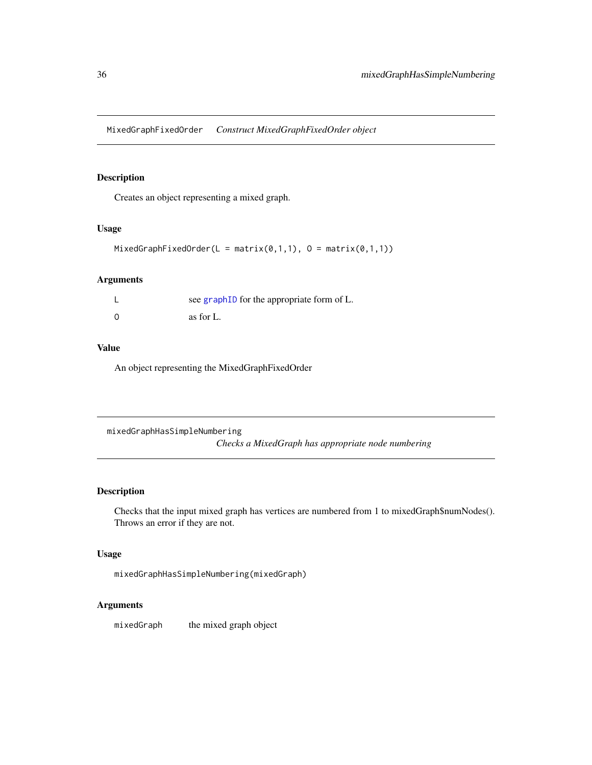<span id="page-35-0"></span>MixedGraphFixedOrder *Construct MixedGraphFixedOrder object*

### Description

Creates an object representing a mixed graph.

### Usage

```
MixedGraphFixedOrder(L = matrix(0,1,1), 0 = matrix(0,1,1))
```
### Arguments

| see graphID for the appropriate form of L. |
|--------------------------------------------|
| as for L.                                  |

### Value

An object representing the MixedGraphFixedOrder

mixedGraphHasSimpleNumbering *Checks a MixedGraph has appropriate node numbering*

### Description

Checks that the input mixed graph has vertices are numbered from 1 to mixedGraph\$numNodes(). Throws an error if they are not.

### Usage

mixedGraphHasSimpleNumbering(mixedGraph)

### Arguments

mixedGraph the mixed graph object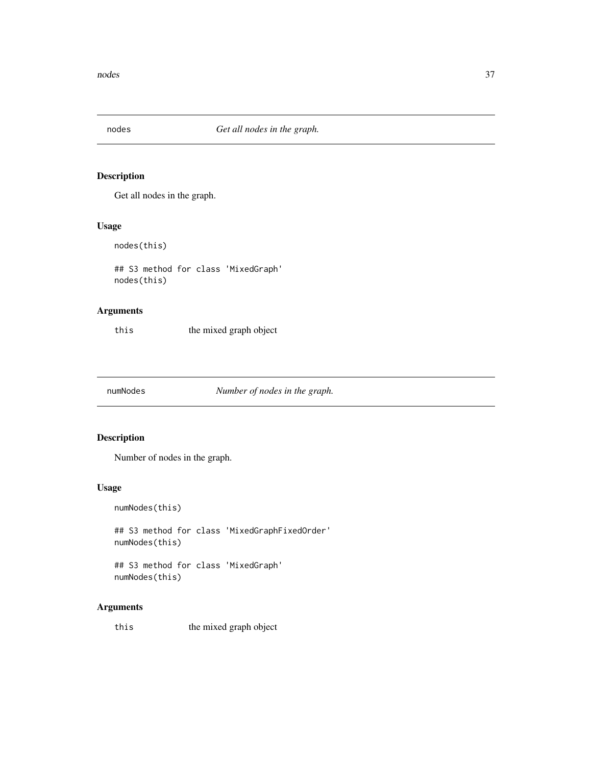<span id="page-36-0"></span>

Get all nodes in the graph.

#### Usage

nodes(this)

## S3 method for class 'MixedGraph' nodes(this)

### Arguments

this the mixed graph object

numNodes *Number of nodes in the graph.*

### Description

Number of nodes in the graph.

### Usage

numNodes(this)

## S3 method for class 'MixedGraphFixedOrder' numNodes(this)

## S3 method for class 'MixedGraph' numNodes(this)

### Arguments

this the mixed graph object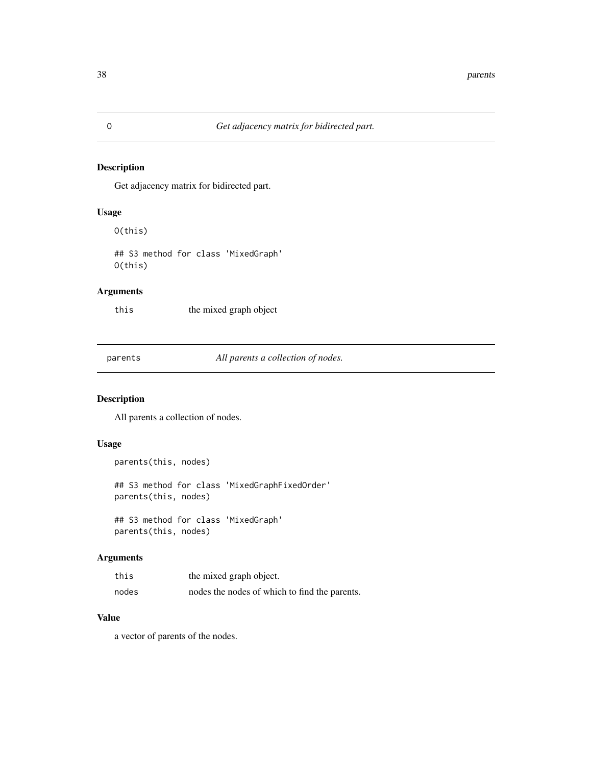<span id="page-37-0"></span>Get adjacency matrix for bidirected part.

### Usage

O(this)

## S3 method for class 'MixedGraph' O(this)

### Arguments

this the mixed graph object

parents *All parents a collection of nodes.*

### Description

All parents a collection of nodes.

#### Usage

```
parents(this, nodes)
## S3 method for class 'MixedGraphFixedOrder'
parents(this, nodes)
## S3 method for class 'MixedGraph'
```
parents(this, nodes)

### Arguments

| this  | the mixed graph object.                       |
|-------|-----------------------------------------------|
| nodes | nodes the nodes of which to find the parents. |

### Value

a vector of parents of the nodes.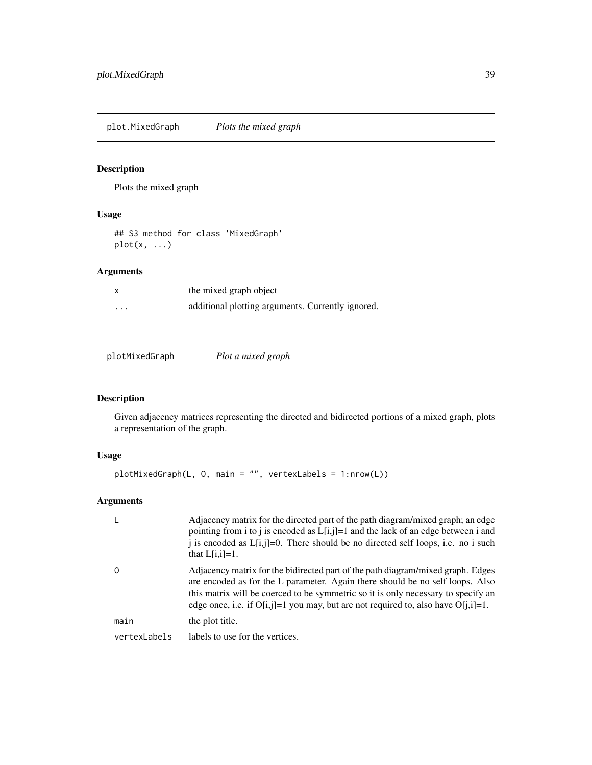<span id="page-38-0"></span>plot.MixedGraph *Plots the mixed graph*

### Description

Plots the mixed graph

### Usage

## S3 method for class 'MixedGraph' plot(x, ...)

### Arguments

| X | the mixed graph object                            |  |
|---|---------------------------------------------------|--|
| . | additional plotting arguments. Currently ignored. |  |

|--|--|

### Description

Given adjacency matrices representing the directed and bidirected portions of a mixed graph, plots a representation of the graph.

### Usage

```
plotMixedGraph(L, O, main = "", vertexLabels = 1:nrow(L))
```

| L            | Adjacency matrix for the directed part of the path diagram/mixed graph; an edge<br>pointing from i to j is encoded as $L[i,j]=1$ and the lack of an edge between i and<br>i is encoded as $L[i,j]=0$ . There should be no directed self loops, i.e. no i such<br>that $L[i,i]=1$ .                                                                |
|--------------|---------------------------------------------------------------------------------------------------------------------------------------------------------------------------------------------------------------------------------------------------------------------------------------------------------------------------------------------------|
| 0            | Adjacency matrix for the bidirected part of the path diagram/mixed graph. Edges<br>are encoded as for the L parameter. Again there should be no self loops. Also<br>this matrix will be coerced to be symmetric so it is only necessary to specify an<br>edge once, i.e. if $O[i, j]=1$ you may, but are not required to, also have $O[i, i]=1$ . |
| main         | the plot title.                                                                                                                                                                                                                                                                                                                                   |
| vertexLabels | labels to use for the vertices.                                                                                                                                                                                                                                                                                                                   |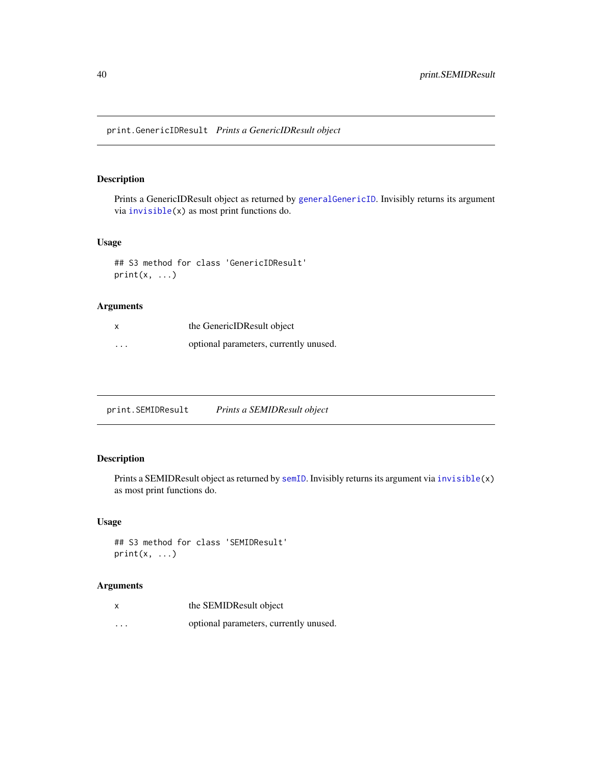<span id="page-39-0"></span>print.GenericIDResult *Prints a GenericIDResult object*

### Description

Prints a GenericIDResult object as returned by [generalGenericID](#page-17-1). Invisibly returns its argument via [invisible\(](#page-0-0)x) as most print functions do.

### Usage

```
## S3 method for class 'GenericIDResult'
print(x, \ldots)
```
### Arguments

| x                       | the GenericIDResult object             |
|-------------------------|----------------------------------------|
| $\cdot$ $\cdot$ $\cdot$ | optional parameters, currently unused. |

| print.SEMIDResult | Prints a SEMIDResult object |
|-------------------|-----------------------------|
|                   |                             |

### Description

Prints a SEMIDResult object as returned by [semID](#page-40-1). Invisibly returns its argument via [invisible\(](#page-0-0)x) as most print functions do.

### Usage

```
## S3 method for class 'SEMIDResult'
print(x, \ldots)
```

|          | the SEMIDResult object                 |
|----------|----------------------------------------|
| $\cdots$ | optional parameters, currently unused. |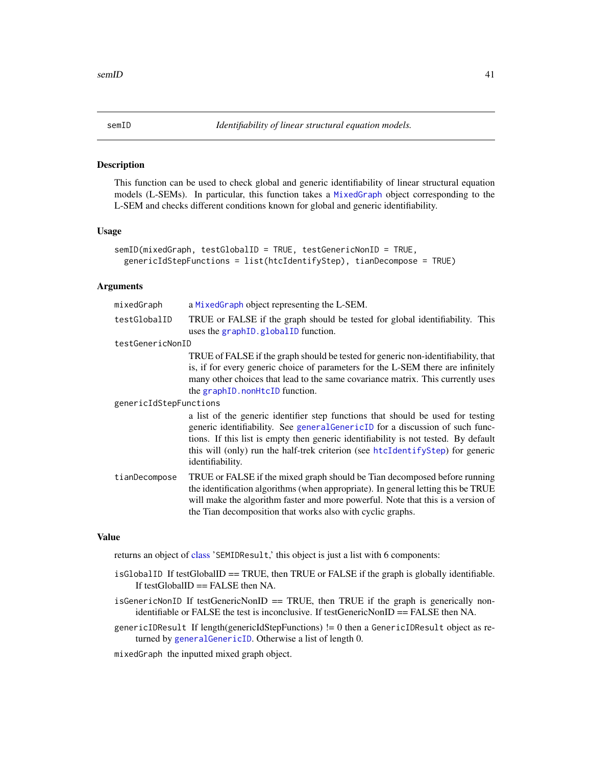<span id="page-40-1"></span><span id="page-40-0"></span>

This function can be used to check global and generic identifiability of linear structural equation models (L-SEMs). In particular, this function takes a [MixedGraph](#page-34-1) object corresponding to the L-SEM and checks different conditions known for global and generic identifiability.

#### Usage

```
semID(mixedGraph, testGlobalID = TRUE, testGenericNonID = TRUE,
 genericIdStepFunctions = list(htcIdentifyStep), tianDecompose = TRUE)
```
#### Arguments

| mixedGraph             | a MixedGraph object representing the L-SEM.                                                                                                                                                                                                                                                                                                                   |
|------------------------|---------------------------------------------------------------------------------------------------------------------------------------------------------------------------------------------------------------------------------------------------------------------------------------------------------------------------------------------------------------|
| testGlobalID           | TRUE or FALSE if the graph should be tested for global identifiability. This<br>uses the graph <sub>ID</sub> .global <sub>ID</sub> function.                                                                                                                                                                                                                  |
| testGenericNonID       |                                                                                                                                                                                                                                                                                                                                                               |
|                        | TRUE of FALSE if the graph should be tested for generic non-identifiability, that<br>is, if for every generic choice of parameters for the L-SEM there are infinitely<br>many other choices that lead to the same covariance matrix. This currently uses<br>the graph ID. nonHtcID function.                                                                  |
| genericIdStepFunctions |                                                                                                                                                                                                                                                                                                                                                               |
|                        | a list of the generic identifier step functions that should be used for testing<br>generic identifiability. See general GenericID for a discussion of such func-<br>tions. If this list is empty then generic identifiability is not tested. By default<br>this will (only) run the half-trek criterion (see htcIdentifyStep) for generic<br>identifiability. |
| tianDecompose          | TRUE or FALSE if the mixed graph should be Tian decomposed before running<br>the identification algorithms (when appropriate). In general letting this be TRUE<br>will make the algorithm faster and more powerful. Note that this is a version of<br>the Tian decomposition that works also with cyclic graphs.                                              |

#### Value

returns an object of [class](#page-0-0) 'SEMIDResult,' this object is just a list with 6 components:

- isGlobalID If testGlobalID == TRUE, then TRUE or FALSE if the graph is globally identifiable. If testGlobalID == FALSE then NA.
- $isGeneratorID$  If testGenericNonID == TRUE, then TRUE if the graph is generically nonidentifiable or FALSE the test is inconclusive. If testGenericNonID == FALSE then NA.
- genericIDResult If length(genericIdStepFunctions) != 0 then a GenericIDResult object as returned by [generalGenericID](#page-17-1). Otherwise a list of length 0.

mixedGraph the inputted mixed graph object.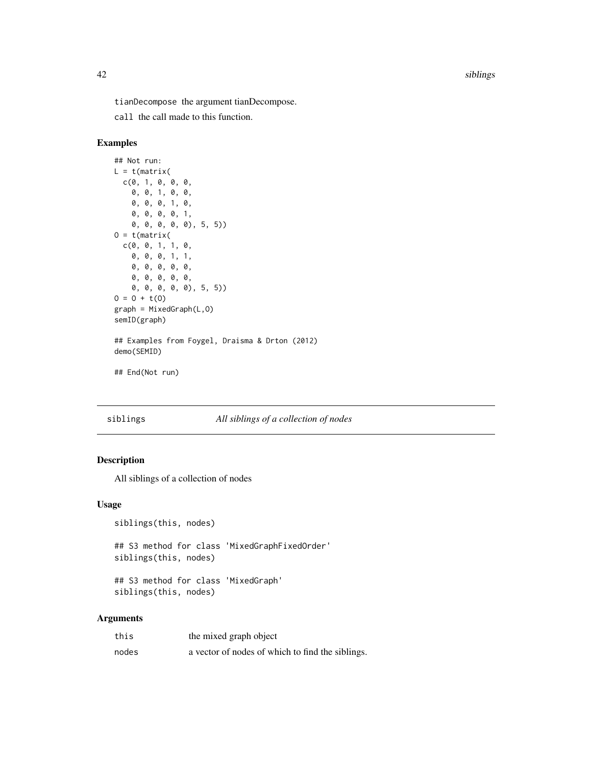<span id="page-41-0"></span>tianDecompose the argument tianDecompose.

call the call made to this function.

### Examples

```
## Not run:
L = t(matrix)c(0, 1, 0, 0, 0, 0,0, 0, 1, 0, 0,
    0, 0, 0, 1, 0,
    0, 0, 0, 0, 1,
    0, 0, 0, 0, 0), 5, 5))
0 = t(matrix)c(0, 0, 1, 1, 0,
    0, 0, 0, 1, 1,
    0, 0, 0, 0, 0,
    0, 0, 0, 0, 0,
    0, 0, 0, 0, 0), 5, 5))
0 = 0 + t(0)graph = MixedGraph(L,0)semID(graph)
## Examples from Foygel, Draisma & Drton (2012)
demo(SEMID)
## End(Not run)
```
### siblings *All siblings of a collection of nodes*

### Description

All siblings of a collection of nodes

#### Usage

```
siblings(this, nodes)
```
## S3 method for class 'MixedGraphFixedOrder' siblings(this, nodes)

## S3 method for class 'MixedGraph' siblings(this, nodes)

| this  | the mixed graph object                           |
|-------|--------------------------------------------------|
| nodes | a vector of nodes of which to find the siblings. |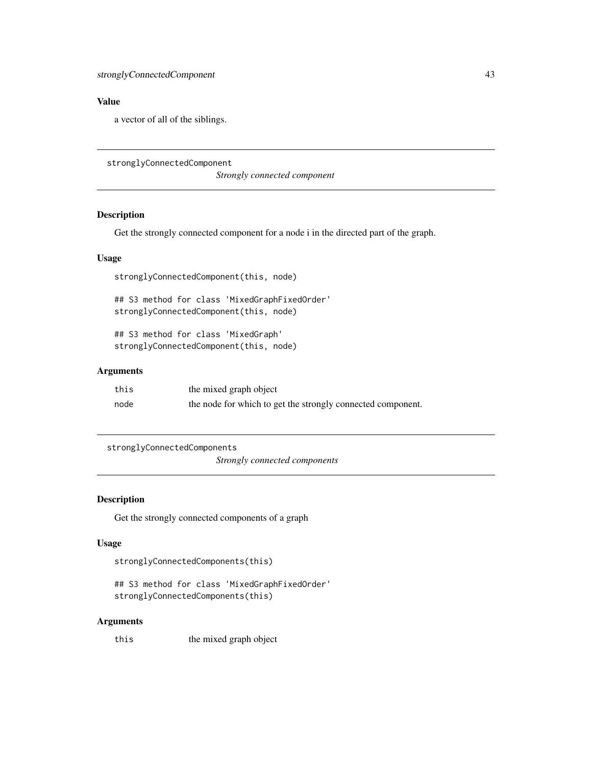### <span id="page-42-0"></span>Value

a vector of all of the siblings.

```
stronglyConnectedComponent
```
*Strongly connected component*

### Description

Get the strongly connected component for a node i in the directed part of the graph.

#### Usage

stronglyConnectedComponent(this, node)

## S3 method for class 'MixedGraphFixedOrder' stronglyConnectedComponent(this, node)

## S3 method for class 'MixedGraph' stronglyConnectedComponent(this, node)

### Arguments

| this | the mixed graph object                                      |
|------|-------------------------------------------------------------|
| node | the node for which to get the strongly connected component. |

stronglyConnectedComponents *Strongly connected components*

### Description

Get the strongly connected components of a graph

#### Usage

stronglyConnectedComponents(this)

```
## S3 method for class 'MixedGraphFixedOrder'
stronglyConnectedComponents(this)
```
### Arguments

this the mixed graph object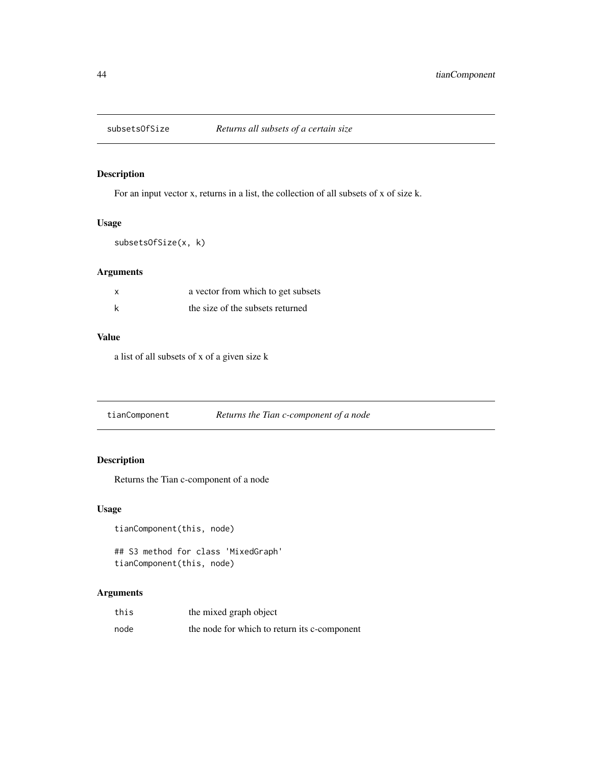<span id="page-43-0"></span>

For an input vector x, returns in a list, the collection of all subsets of x of size k.

### Usage

subsetsOfSize(x, k)

### Arguments

| x | a vector from which to get subsets |
|---|------------------------------------|
|   | the size of the subsets returned   |

#### Value

a list of all subsets of x of a given size k

tianComponent *Returns the Tian c-component of a node*

### Description

Returns the Tian c-component of a node

#### Usage

```
tianComponent(this, node)
```
## S3 method for class 'MixedGraph' tianComponent(this, node)

| this | the mixed graph object                       |
|------|----------------------------------------------|
| node | the node for which to return its c-component |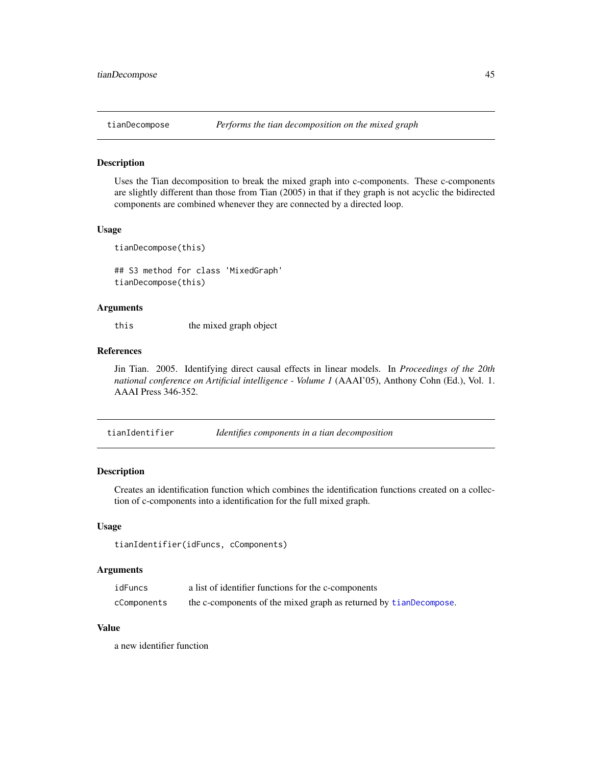<span id="page-44-1"></span><span id="page-44-0"></span>

Uses the Tian decomposition to break the mixed graph into c-components. These c-components are slightly different than those from Tian (2005) in that if they graph is not acyclic the bidirected components are combined whenever they are connected by a directed loop.

#### Usage

```
tianDecompose(this)
```
## S3 method for class 'MixedGraph' tianDecompose(this)

#### Arguments

this the mixed graph object

### References

Jin Tian. 2005. Identifying direct causal effects in linear models. In *Proceedings of the 20th national conference on Artificial intelligence - Volume 1* (AAAI'05), Anthony Cohn (Ed.), Vol. 1. AAAI Press 346-352.

tianIdentifier *Identifies components in a tian decomposition*

### Description

Creates an identification function which combines the identification functions created on a collection of c-components into a identification for the full mixed graph.

#### Usage

tianIdentifier(idFuncs, cComponents)

#### Arguments

| idFuncs     | a list of identifier functions for the c-components               |
|-------------|-------------------------------------------------------------------|
| cComponents | the c-components of the mixed graph as returned by tianDecompose. |

### Value

a new identifier function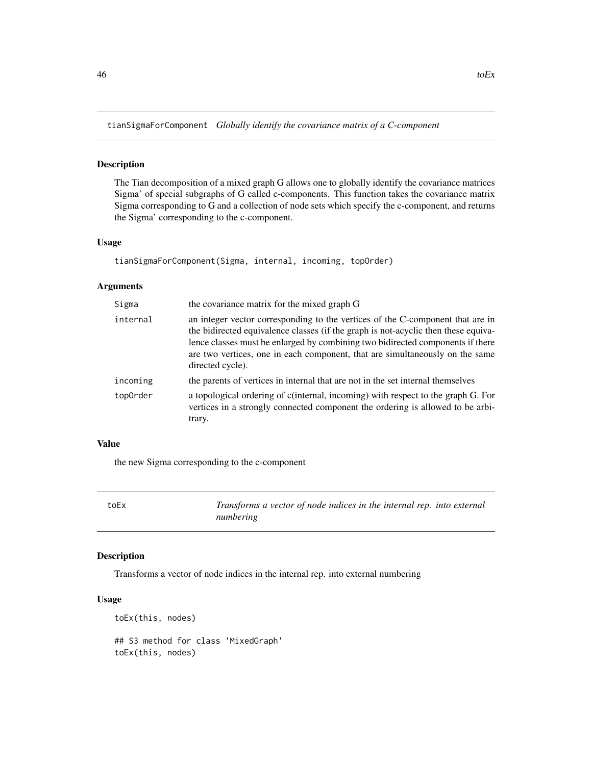<span id="page-45-0"></span>tianSigmaForComponent *Globally identify the covariance matrix of a C-component*

### Description

The Tian decomposition of a mixed graph G allows one to globally identify the covariance matrices Sigma' of special subgraphs of G called c-components. This function takes the covariance matrix Sigma corresponding to G and a collection of node sets which specify the c-component, and returns the Sigma' corresponding to the c-component.

#### Usage

```
tianSigmaForComponent(Sigma, internal, incoming, topOrder)
```
#### Arguments

| the covariance matrix for the mixed graph G                                                                                                                                                                                                                                                                                                                |
|------------------------------------------------------------------------------------------------------------------------------------------------------------------------------------------------------------------------------------------------------------------------------------------------------------------------------------------------------------|
| an integer vector corresponding to the vertices of the C-component that are in<br>the bidirected equivalence classes (if the graph is not-acyclic then these equiva-<br>lence classes must be enlarged by combining two bidirected components if there<br>are two vertices, one in each component, that are simultaneously on the same<br>directed cycle). |
| the parents of vertices in internal that are not in the set internal themselves                                                                                                                                                                                                                                                                            |
| a topological ordering of c(internal, incoming) with respect to the graph G. For<br>vertices in a strongly connected component the ordering is allowed to be arbi-<br>trary.                                                                                                                                                                               |
|                                                                                                                                                                                                                                                                                                                                                            |

#### Value

the new Sigma corresponding to the c-component

toEx *Transforms a vector of node indices in the internal rep. into external numbering*

#### Description

Transforms a vector of node indices in the internal rep. into external numbering

```
toEx(this, nodes)
## S3 method for class 'MixedGraph'
toEx(this, nodes)
```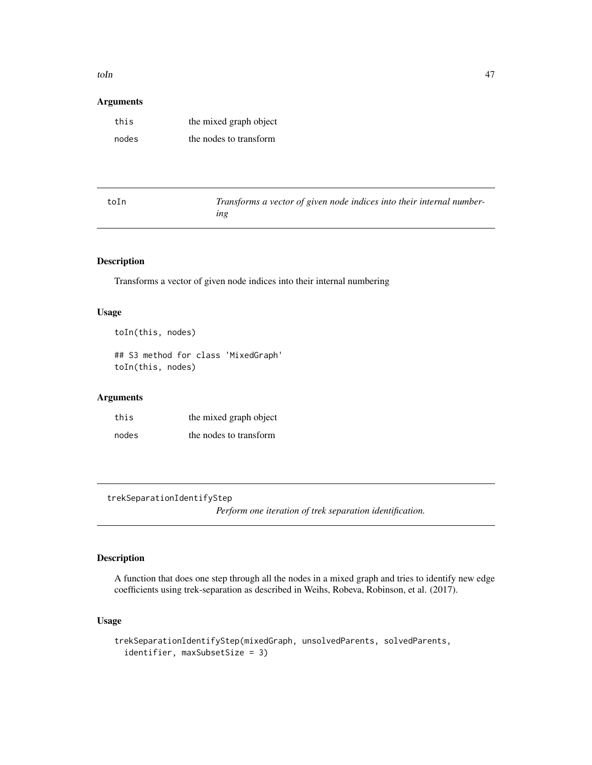#### <span id="page-46-0"></span> $t$ oIn  $47$

### Arguments

| this  | the mixed graph object |
|-------|------------------------|
| nodes | the nodes to transform |

| toIn | Transforms a vector of given node indices into their internal number- |
|------|-----------------------------------------------------------------------|
|      | ıng                                                                   |

### Description

Transforms a vector of given node indices into their internal numbering

### Usage

```
toIn(this, nodes)
```
## S3 method for class 'MixedGraph' toIn(this, nodes)

#### Arguments

| this  | the mixed graph object |
|-------|------------------------|
| nodes | the nodes to transform |

<span id="page-46-1"></span>trekSeparationIdentifyStep

*Perform one iteration of trek separation identification.*

## Description

A function that does one step through all the nodes in a mixed graph and tries to identify new edge coefficients using trek-separation as described in Weihs, Robeva, Robinson, et al. (2017).

```
trekSeparationIdentifyStep(mixedGraph, unsolvedParents, solvedParents,
  identifier, maxSubsetSize = 3)
```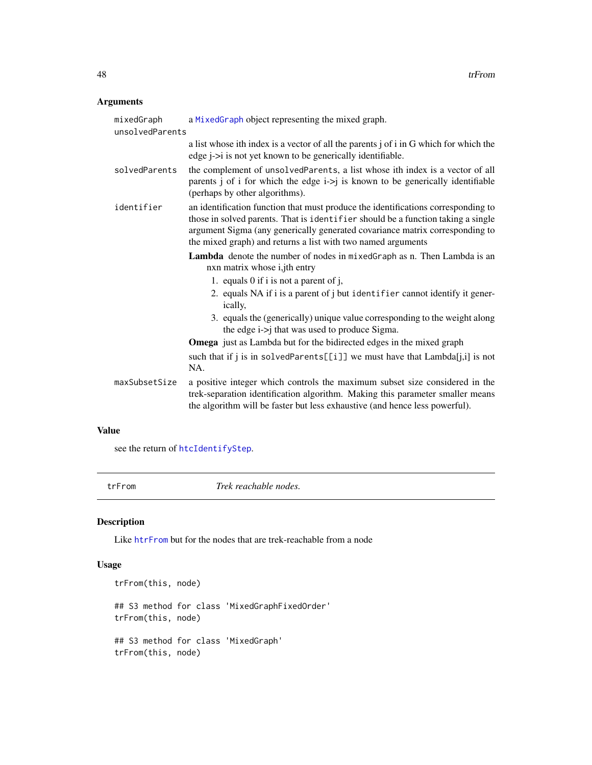### <span id="page-47-0"></span>Arguments

| a MixedGraph object representing the mixed graph.<br>unsolvedParents                                                                                                                                                                                                                                                  |
|-----------------------------------------------------------------------------------------------------------------------------------------------------------------------------------------------------------------------------------------------------------------------------------------------------------------------|
| a list whose ith index is a vector of all the parents j of i in G which for which the<br>edge <i>j</i> -> <i>i</i> is not yet known to be generically identifiable.                                                                                                                                                   |
| the complement of unsolvedParents, a list whose ith index is a vector of all<br>parents $j$ of $i$ for which the edge $i$ -> $j$ is known to be generically identifiable<br>(perhaps by other algorithms).                                                                                                            |
| an identification function that must produce the identifications corresponding to<br>those in solved parents. That is identifier should be a function taking a single<br>argument Sigma (any generically generated covariance matrix corresponding to<br>the mixed graph) and returns a list with two named arguments |
| Lambda denote the number of nodes in mixedGraph as n. Then Lambda is an<br>nxn matrix whose i,jth entry                                                                                                                                                                                                               |
| 1. equals 0 if i is not a parent of j,                                                                                                                                                                                                                                                                                |
| 2. equals NA if i is a parent of j but identifier cannot identify it gener-<br>ically,                                                                                                                                                                                                                                |
| 3. equals the (generically) unique value corresponding to the weight along<br>the edge i->j that was used to produce Sigma.                                                                                                                                                                                           |
| <b>Omega</b> just as Lambda but for the bidirected edges in the mixed graph                                                                                                                                                                                                                                           |
| such that if j is in solvedParents[[i]] we must have that Lambda[j,i] is not<br>NA.                                                                                                                                                                                                                                   |
| a positive integer which controls the maximum subset size considered in the<br>trek-separation identification algorithm. Making this parameter smaller means<br>the algorithm will be faster but less exhaustive (and hence less powerful).                                                                           |
|                                                                                                                                                                                                                                                                                                                       |

### Value

see the return of [htcIdentifyStep](#page-30-1).

| ٠ | I |
|---|---|
|---|---|

m **Trek reachable nodes**.

### Description

Like [htrFrom](#page-32-1) but for the nodes that are trek-reachable from a node

```
trFrom(this, node)
## S3 method for class 'MixedGraphFixedOrder'
trFrom(this, node)
## S3 method for class 'MixedGraph'
trFrom(this, node)
```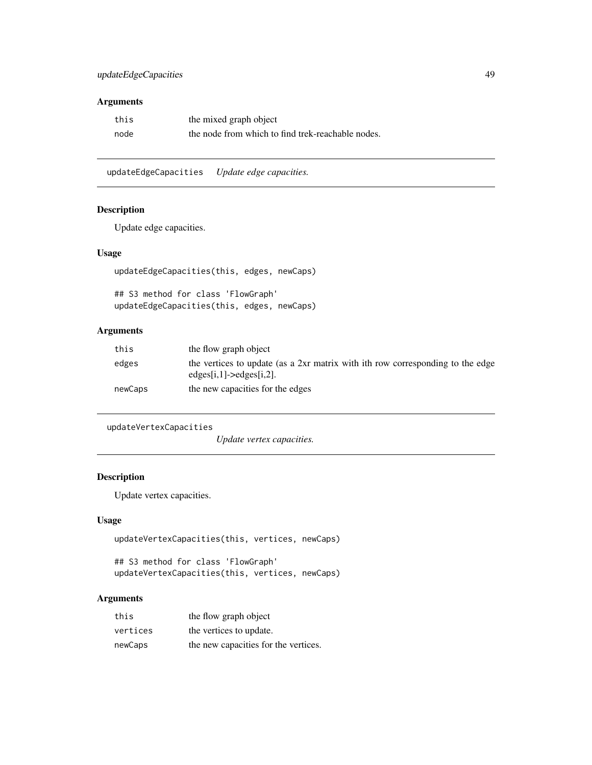### <span id="page-48-0"></span>updateEdgeCapacities 49

### Arguments

| this | the mixed graph object                            |
|------|---------------------------------------------------|
| node | the node from which to find trek-reachable nodes. |

updateEdgeCapacities *Update edge capacities.*

### Description

Update edge capacities.

### Usage

```
updateEdgeCapacities(this, edges, newCaps)
```
## S3 method for class 'FlowGraph' updateEdgeCapacities(this, edges, newCaps)

### Arguments

| this    | the flow graph object                                                                                        |
|---------|--------------------------------------------------------------------------------------------------------------|
| edges   | the vertices to update (as a 2xr matrix with ith row corresponding to the edge<br>$edges[i,1]-<>edges[i,2].$ |
| newCaps | the new capacities for the edges                                                                             |

```
updateVertexCapacities
```
*Update vertex capacities.*

### Description

Update vertex capacities.

### Usage

```
updateVertexCapacities(this, vertices, newCaps)
```

```
## S3 method for class 'FlowGraph'
updateVertexCapacities(this, vertices, newCaps)
```

| this     | the flow graph object                |
|----------|--------------------------------------|
| vertices | the vertices to update.              |
| newCaps  | the new capacities for the vertices. |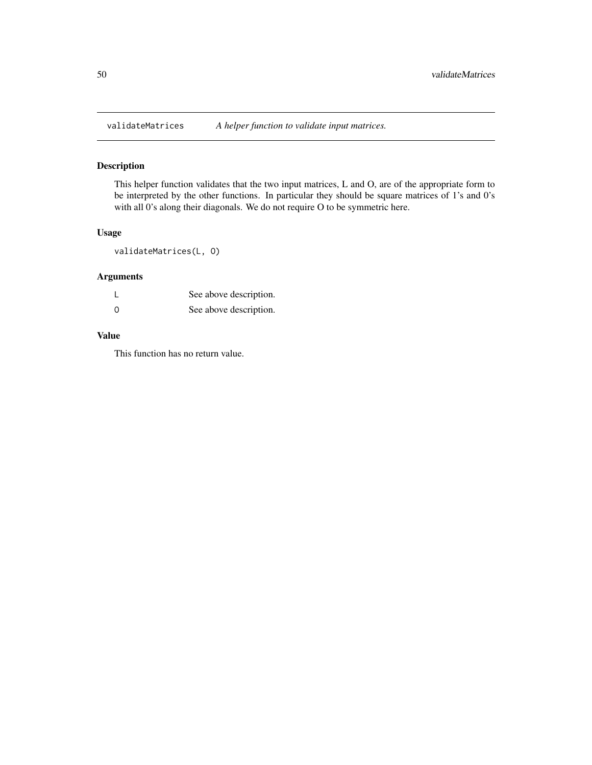<span id="page-49-0"></span>

This helper function validates that the two input matrices, L and O, are of the appropriate form to be interpreted by the other functions. In particular they should be square matrices of 1's and 0's with all 0's along their diagonals. We do not require O to be symmetric here.

### Usage

validateMatrices(L, O)

### Arguments

|     | See above description. |
|-----|------------------------|
| . റ | See above description. |

### Value

This function has no return value.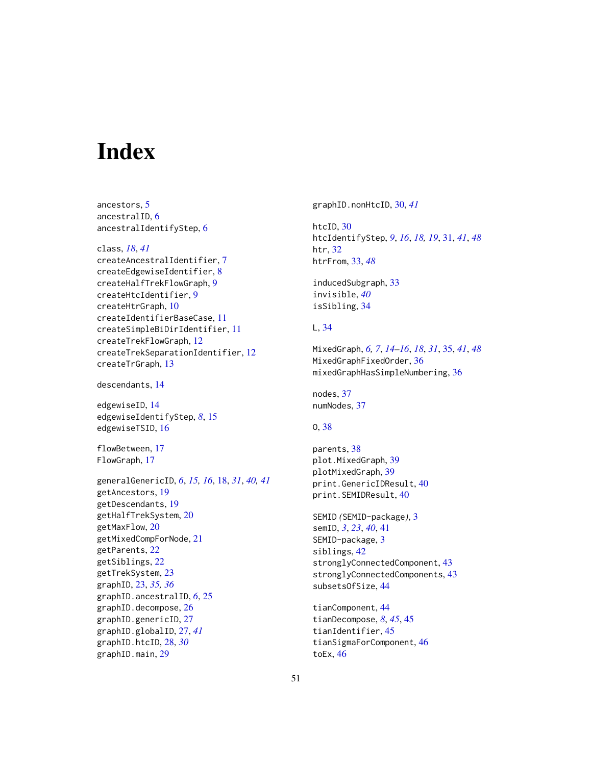# <span id="page-50-0"></span>**Index**

ancestors, [5](#page-4-0) ancestralID, [6](#page-5-0) ancestralIdentifyStep, [6](#page-5-0)

class, *[18](#page-17-0)*, *[41](#page-40-0)* createAncestralIdentifier, [7](#page-6-0) createEdgewiseIdentifier, [8](#page-7-0) createHalfTrekFlowGraph, [9](#page-8-0) createHtcIdentifier, [9](#page-8-0) createHtrGraph, [10](#page-9-0) createIdentifierBaseCase, [11](#page-10-0) createSimpleBiDirIdentifier, [11](#page-10-0) createTrekFlowGraph, [12](#page-11-0) createTrekSeparationIdentifier, [12](#page-11-0) createTrGraph, [13](#page-12-0)

descendants, [14](#page-13-0)

edgewiseID, [14](#page-13-0) edgewiseIdentifyStep, *[8](#page-7-0)*, [15](#page-14-0) edgewiseTSID, [16](#page-15-0)

flowBetween, [17](#page-16-0) FlowGraph, [17](#page-16-0)

generalGenericID, *[6](#page-5-0)*, *[15,](#page-14-0) [16](#page-15-0)*, [18,](#page-17-0) *[31](#page-30-0)*, *[40,](#page-39-0) [41](#page-40-0)* getAncestors, [19](#page-18-0) getDescendants, [19](#page-18-0) getHalfTrekSystem, [20](#page-19-0) getMaxFlow, [20](#page-19-0) getMixedCompForNode, [21](#page-20-0) getParents, [22](#page-21-0) getSiblings, [22](#page-21-0) getTrekSystem, [23](#page-22-0) graphID, [23,](#page-22-0) *[35,](#page-34-0) [36](#page-35-0)* graphID.ancestralID, *[6](#page-5-0)*, [25](#page-24-0) graphID.decompose, [26](#page-25-0) graphID.genericID, [27](#page-26-0) graphID.globalID, [27,](#page-26-0) *[41](#page-40-0)* graphID.htcID, [28,](#page-27-0) *[30](#page-29-0)* graphID.main, [29](#page-28-0)

graphID.nonHtcID, [30,](#page-29-0) *[41](#page-40-0)*

htcID, [30](#page-29-0) htcIdentifyStep, *[9](#page-8-0)*, *[16](#page-15-0)*, *[18,](#page-17-0) [19](#page-18-0)*, [31,](#page-30-0) *[41](#page-40-0)*, *[48](#page-47-0)* htr, [32](#page-31-0) htrFrom, [33,](#page-32-0) *[48](#page-47-0)*

inducedSubgraph, [33](#page-32-0) invisible, *[40](#page-39-0)* isSibling, [34](#page-33-0)

### L, [34](#page-33-0)

MixedGraph, *[6,](#page-5-0) [7](#page-6-0)*, *[14](#page-13-0)[–16](#page-15-0)*, *[18](#page-17-0)*, *[31](#page-30-0)*, [35,](#page-34-0) *[41](#page-40-0)*, *[48](#page-47-0)* MixedGraphFixedOrder, [36](#page-35-0) mixedGraphHasSimpleNumbering, [36](#page-35-0)

nodes, [37](#page-36-0) numNodes, [37](#page-36-0)

### O, [38](#page-37-0)

parents, [38](#page-37-0) plot.MixedGraph, [39](#page-38-0) plotMixedGraph, [39](#page-38-0) print.GenericIDResult, [40](#page-39-0) print.SEMIDResult, [40](#page-39-0)

SEMID *(*SEMID-package*)*, [3](#page-2-0) semID, *[3](#page-2-0)*, *[23](#page-22-0)*, *[40](#page-39-0)*, [41](#page-40-0) SEMID-package, [3](#page-2-0) siblings, [42](#page-41-0) stronglyConnectedComponent, [43](#page-42-0) stronglyConnectedComponents, [43](#page-42-0) subsetsOfSize, [44](#page-43-0)

tianComponent, [44](#page-43-0) tianDecompose, *[8](#page-7-0)*, *[45](#page-44-0)*, [45](#page-44-0) tianIdentifier, [45](#page-44-0) tianSigmaForComponent, [46](#page-45-0) toEx, [46](#page-45-0)